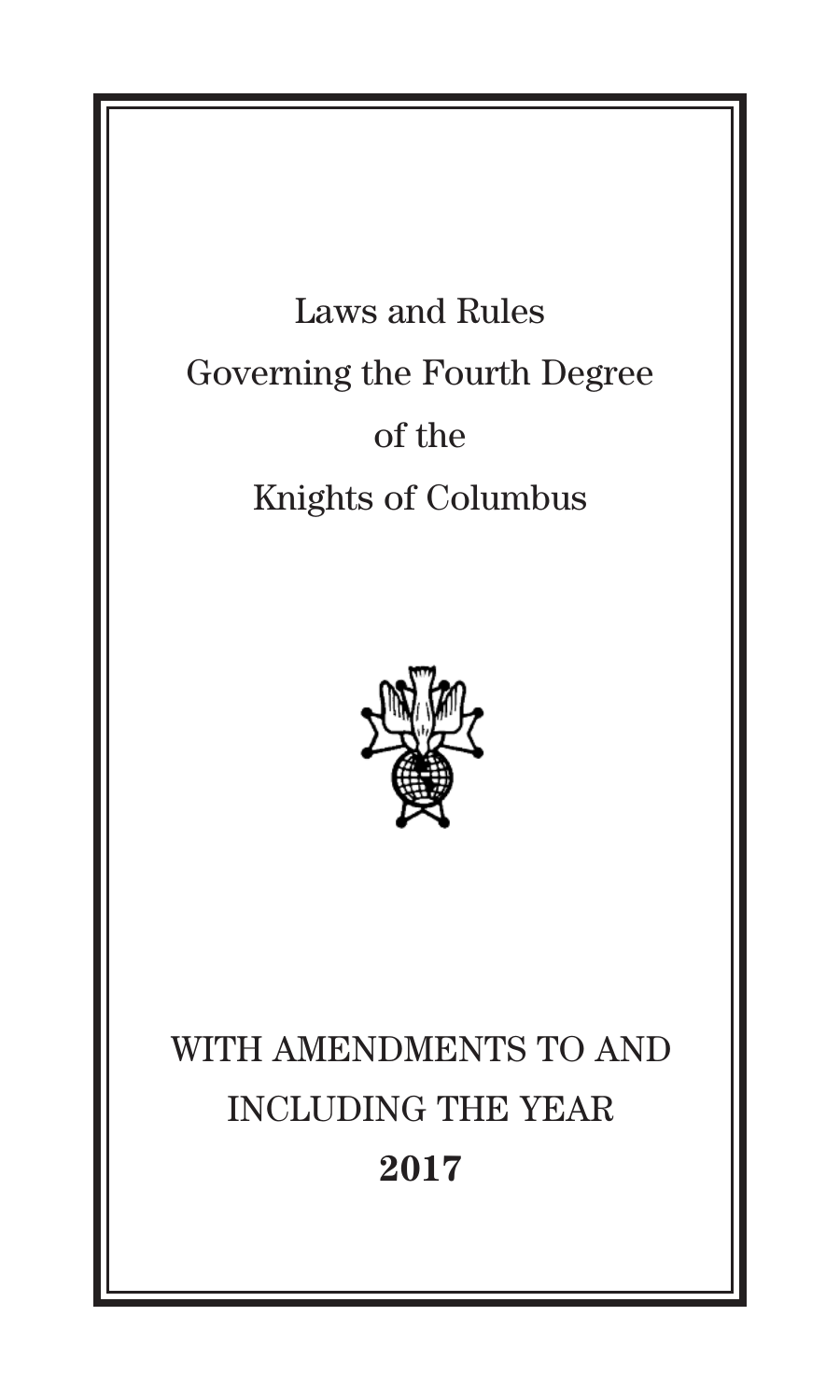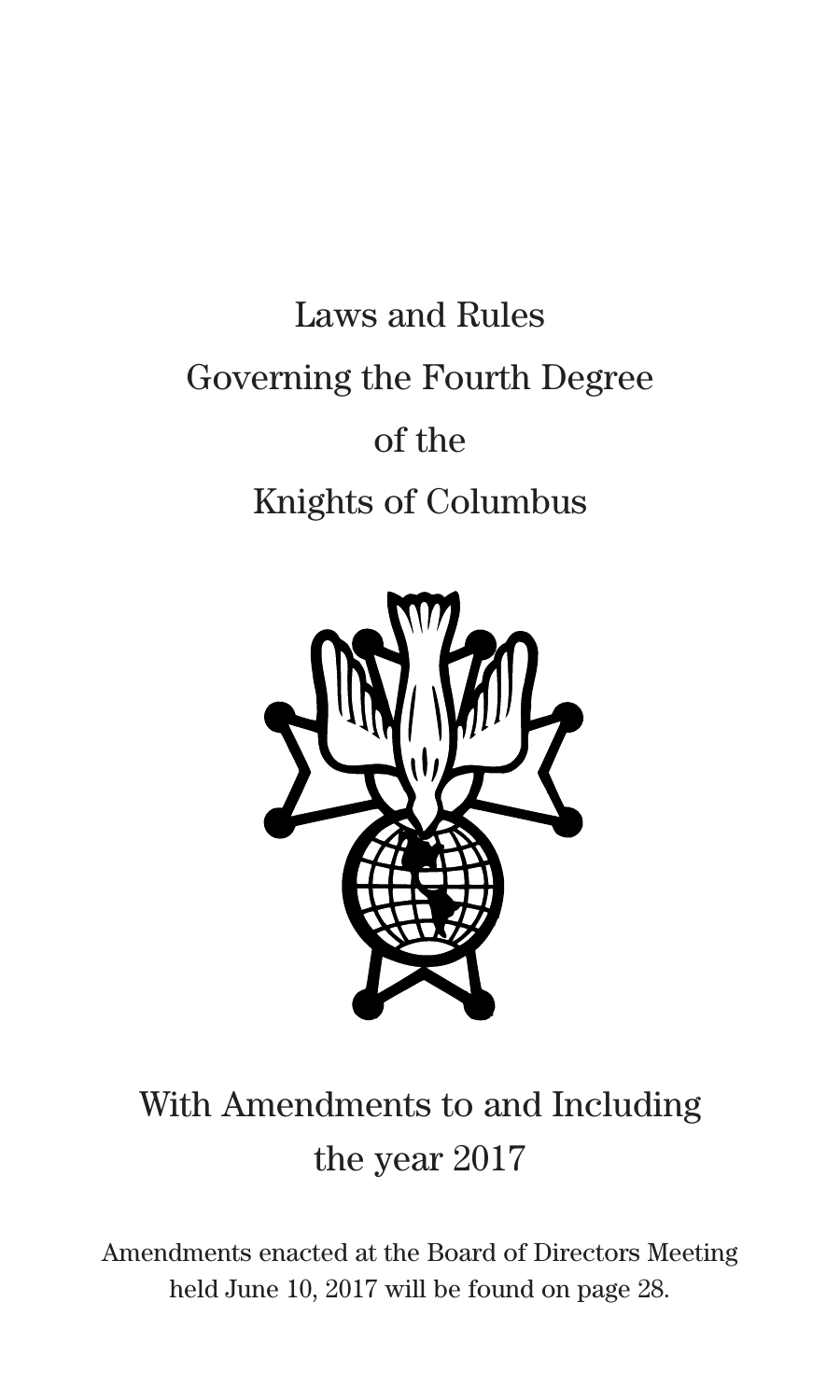# Laws and Rules Governing the Fourth Degree of the Knights of Columbus



## With Amendments to and Including the year 2017

Amendments enacted at the Board of Directors Meeting held June 10, 2017 will be found on page 28.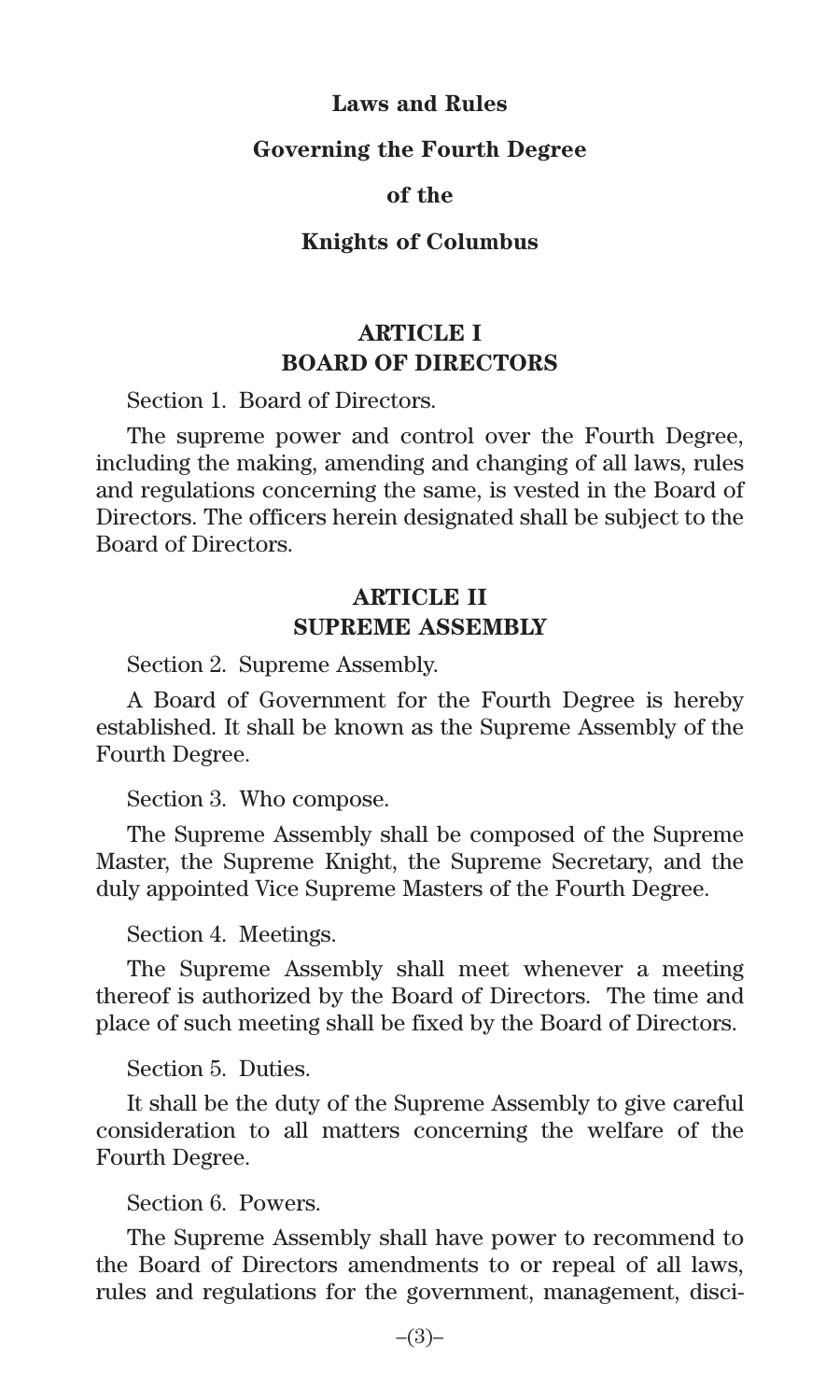#### **Laws and Rules**

#### **Governing the Fourth Degree**

#### **of the**

#### **Knights of Columbus**

## **ARTICLE I BOARD OF DIRECTORS**

Section 1. Board of Directors.

The supreme power and control over the Fourth Degree, including the making, amending and changing of all laws, rules and regulations concerning the same, is vested in the Board of Directors. The officers herein designated shall be subject to the Board of Directors.

## **ARTICLE II SUPREME ASSEMBLY**

Section 2. Supreme Assembly.

A Board of Government for the Fourth Degree is hereby established. It shall be known as the Supreme Assembly of the Fourth Degree.

Section 3. Who compose.

The Supreme Assembly shall be composed of the Supreme Master, the Supreme Knight, the Supreme Secretary, and the duly appointed Vice Supreme Masters of the Fourth Degree.

Section 4. Meetings.

The Supreme Assembly shall meet whenever a meeting thereof is authorized by the Board of Directors. The time and place of such meeting shall be fixed by the Board of Directors.

Section 5. Duties.

It shall be the duty of the Supreme Assembly to give careful consideration to all matters concerning the welfare of the Fourth Degree.

Section 6. Powers.

The Supreme Assembly shall have power to recommend to the Board of Directors amendments to or repeal of all laws, rules and regulations for the government, management, disci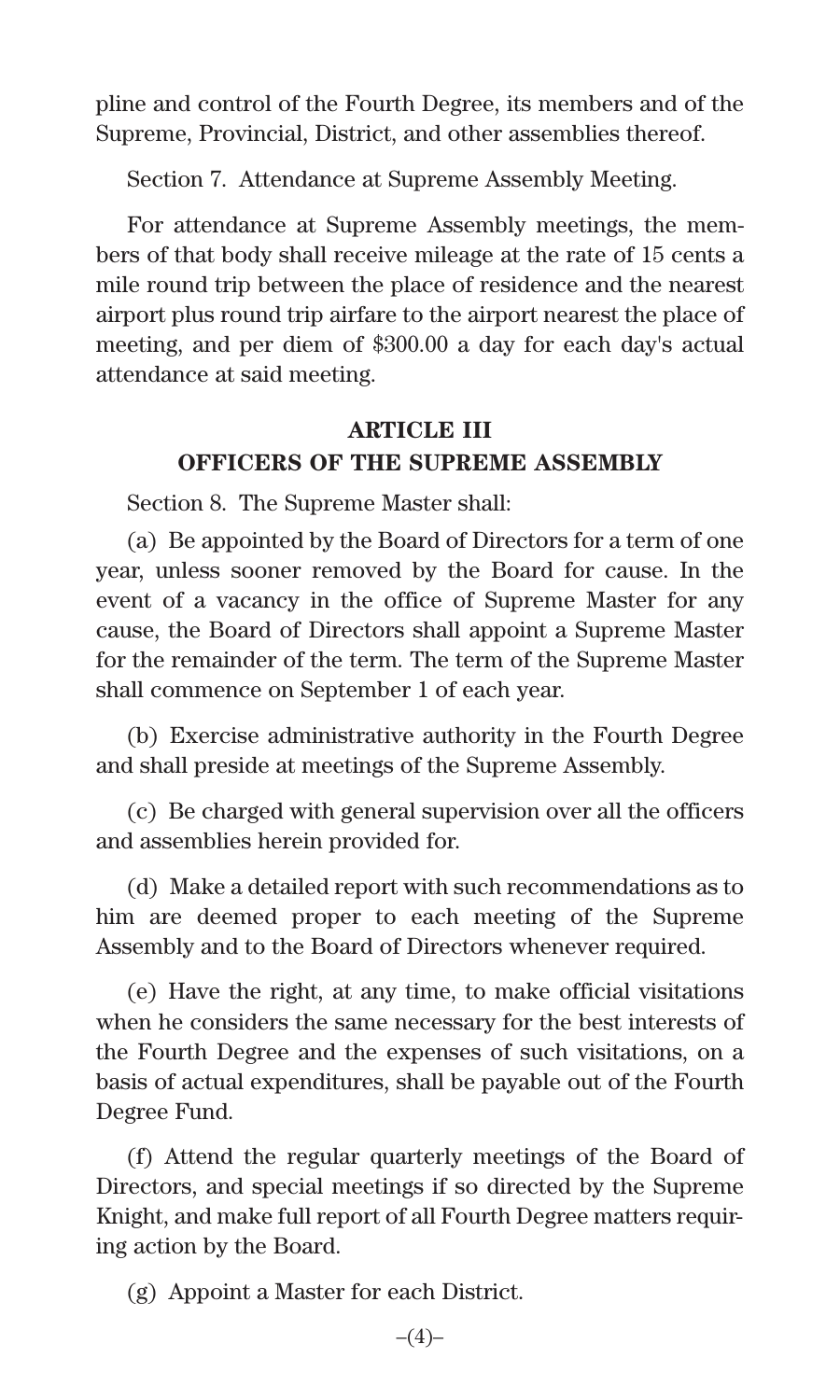pline and control of the Fourth Degree, its members and of the Supreme, Provincial, District, and other assemblies thereof.

Section 7. Attendance at Supreme Assembly Meeting.

For attendance at Supreme Assembly meetings, the members of that body shall receive mileage at the rate of 15 cents a mile round trip between the place of residence and the nearest airport plus round trip airfare to the airport nearest the place of meeting, and per diem of \$300.00 a day for each day's actual attendance at said meeting.

## **ARTICLE III OFFICERS OF THE SUPREME ASSEMBLY**

Section 8. The Supreme Master shall:

(a) Be appointed by the Board of Directors for a term of one year, unless sooner removed by the Board for cause. In the event of a vacancy in the office of Supreme Master for any cause, the Board of Directors shall appoint a Supreme Master for the remainder of the term. The term of the Supreme Master shall commence on September 1 of each year.

(b) Exercise administrative authority in the Fourth Degree and shall preside at meetings of the Supreme Assembly.

(c) Be charged with general supervision over all the officers and assemblies herein provided for.

(d) Make a detailed report with such recommendations as to him are deemed proper to each meeting of the Supreme Assembly and to the Board of Directors whenever required.

(e) Have the right, at any time, to make official visitations when he considers the same necessary for the best interests of the Fourth Degree and the expenses of such visitations, on a basis of actual expenditures, shall be payable out of the Fourth Degree Fund.

(f) Attend the regular quarterly meetings of the Board of Directors, and special meetings if so directed by the Supreme Knight, and make full report of all Fourth Degree matters requiring action by the Board.

(g) Appoint a Master for each District.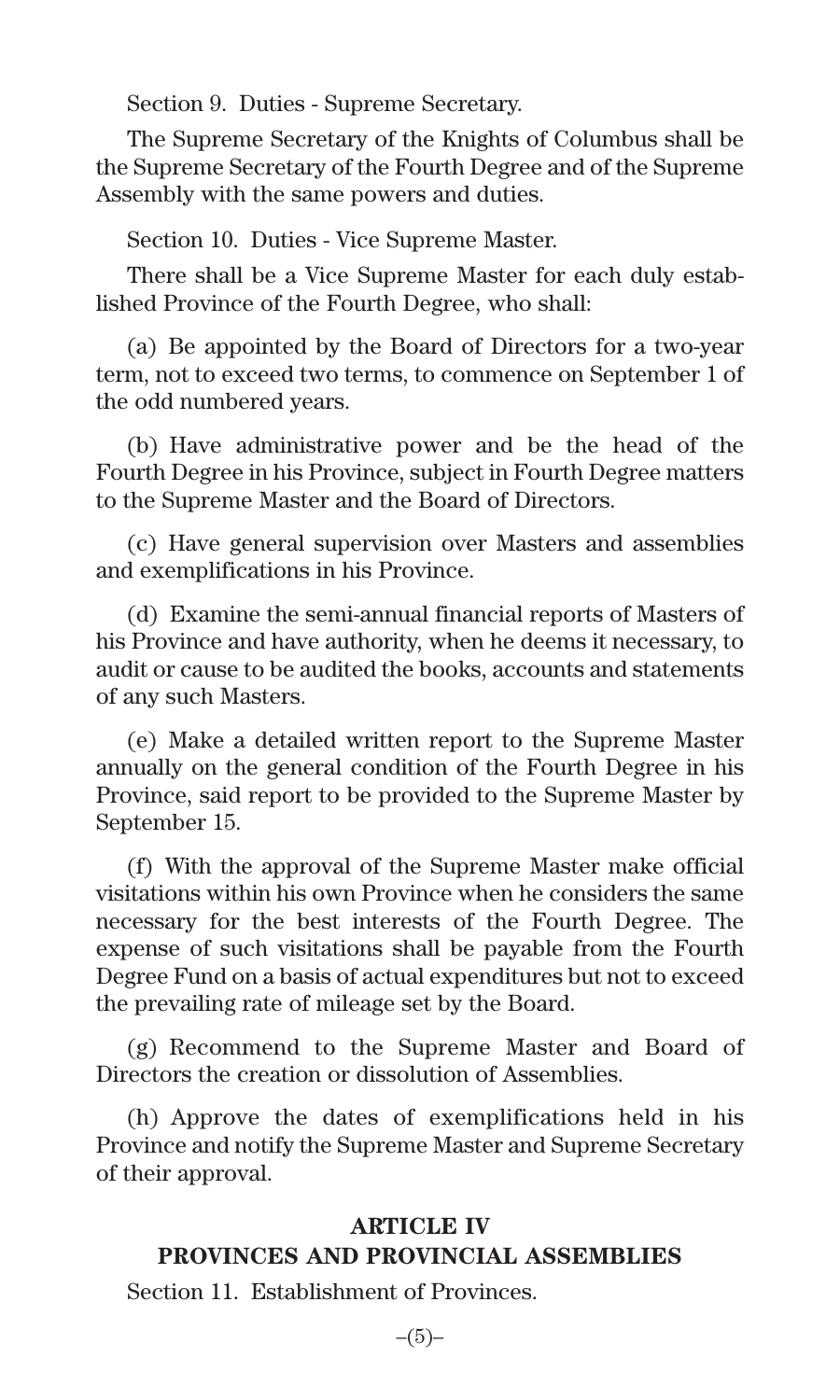Section 9. Duties - Supreme Secretary.

The Supreme Secretary of the Knights of Columbus shall be the Supreme Secretary of the Fourth Degree and of the Supreme Assembly with the same powers and duties.

Section 10. Duties - Vice Supreme Master.

There shall be a Vice Supreme Master for each duly established Province of the Fourth Degree, who shall:

(a) Be appointed by the Board of Directors for a two-year term, not to exceed two terms, to commence on September 1 of the odd numbered years.

(b) Have administrative power and be the head of the Fourth Degree in his Province, subject in Fourth Degree matters to the Supreme Master and the Board of Directors.

(c) Have general supervision over Masters and assemblies and exemplifications in his Province.

(d) Examine the semi-annual financial reports of Masters of his Province and have authority, when he deems it necessary, to audit or cause to be audited the books, accounts and statements of any such Masters.

(e) Make a detailed written report to the Supreme Master annually on the general condition of the Fourth Degree in his Province, said report to be provided to the Supreme Master by September 15.

(f) With the approval of the Supreme Master make official visitations within his own Province when he considers the same necessary for the best interests of the Fourth Degree. The expense of such visitations shall be payable from the Fourth Degree Fund on a basis of actual expenditures but not to exceed the prevailing rate of mileage set by the Board.

(g) Recommend to the Supreme Master and Board of Directors the creation or dissolution of Assemblies.

(h) Approve the dates of exemplifications held in his Province and notify the Supreme Master and Supreme Secretary of their approval.

#### **ARTICLE IV PROVINCES AND PROVINCIAL ASSEMBLIES**

Section 11. Establishment of Provinces.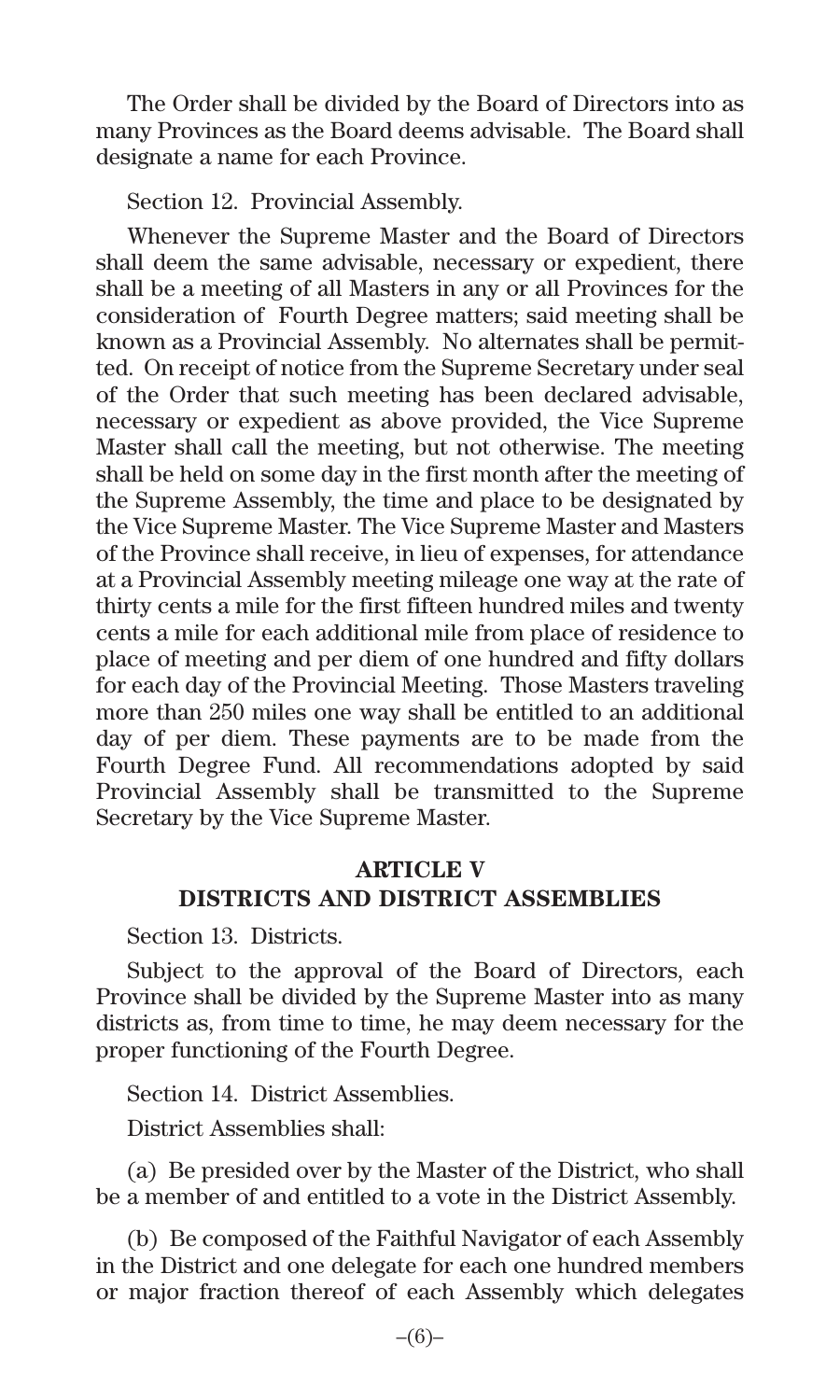The Order shall be divided by the Board of Directors into as many Provinces as the Board deems advisable. The Board shall designate a name for each Province.

Section 12. Provincial Assembly.

Whenever the Supreme Master and the Board of Directors shall deem the same advisable, necessary or expedient, there shall be a meeting of all Masters in any or all Provinces for the consideration of Fourth Degree matters; said meeting shall be known as a Provincial Assembly. No alternates shall be permitted. On receipt of notice from the Supreme Secretary under seal of the Order that such meeting has been declared advisable, necessary or expedient as above provided, the Vice Supreme Master shall call the meeting, but not otherwise. The meeting shall be held on some day in the first month after the meeting of the Supreme Assembly, the time and place to be designated by the Vice Supreme Master. The Vice Supreme Master and Masters of the Province shall receive, in lieu of expenses, for attendance at a Provincial Assembly meeting mileage one way at the rate of thirty cents a mile for the first fifteen hundred miles and twenty cents a mile for each additional mile from place of residence to place of meeting and per diem of one hundred and fifty dollars for each day of the Provincial Meeting. Those Masters traveling more than 250 miles one way shall be entitled to an additional day of per diem. These payments are to be made from the Fourth Degree Fund. All recommendations adopted by said Provincial Assembly shall be transmitted to the Supreme Secretary by the Vice Supreme Master.

## **ARTICLE V DISTRICTS AND DISTRICT ASSEMBLIES**

Section 13. Districts.

Subject to the approval of the Board of Directors, each Province shall be divided by the Supreme Master into as many districts as, from time to time, he may deem necessary for the proper functioning of the Fourth Degree.

Section 14. District Assemblies.

District Assemblies shall:

(a) Be presided over by the Master of the District, who shall be a member of and entitled to a vote in the District Assembly.

(b) Be composed of the Faithful Navigator of each Assembly in the District and one delegate for each one hundred members or major fraction thereof of each Assembly which delegates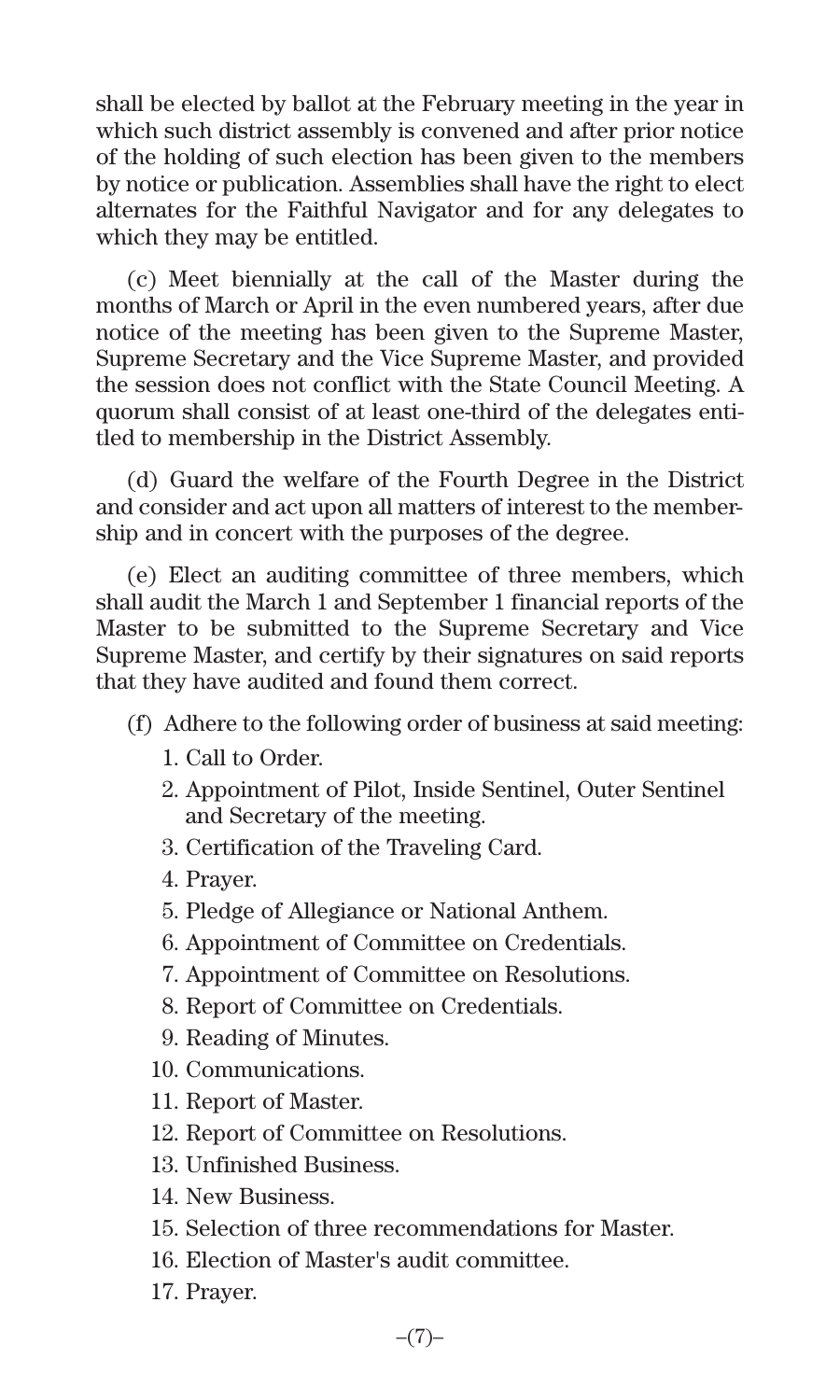shall be elected by ballot at the February meeting in the year in which such district assembly is convened and after prior notice of the holding of such election has been given to the members by notice or publication. Assemblies shall have the right to elect alternates for the Faithful Navigator and for any delegates to which they may be entitled.

(c) Meet biennially at the call of the Master during the months of March or April in the even numbered years, after due notice of the meeting has been given to the Supreme Master, Supreme Secretary and the Vice Supreme Master, and provided the session does not conflict with the State Council Meeting. A quorum shall consist of at least one-third of the delegates entitled to membership in the District Assembly.

(d) Guard the welfare of the Fourth Degree in the District and consider and act upon all matters of interest to the membership and in concert with the purposes of the degree.

(e) Elect an auditing committee of three members, which shall audit the March 1 and September 1 financial reports of the Master to be submitted to the Supreme Secretary and Vice Supreme Master, and certify by their signatures on said reports that they have audited and found them correct.

- (f) Adhere to the following order of business at said meeting:
	- 1. Call to Order.
	- 2. Appointment of Pilot, Inside Sentinel, Outer Sentinel and Secretary of the meeting.
	- 3. Certification of the Traveling Card.
	- 4. Prayer.
	- 5. Pledge of Allegiance or National Anthem.
	- 6. Appointment of Committee on Credentials.
	- 7. Appointment of Committee on Resolutions.
	- 8. Report of Committee on Credentials.
	- 9. Reading of Minutes.
	- 10. Communications.
	- 11. Report of Master.
	- 12. Report of Committee on Resolutions.
	- 13. Unfinished Business.
	- 14. New Business.
	- 15. Selection of three recommendations for Master.
	- 16. Election of Master's audit committee.
	- 17. Prayer.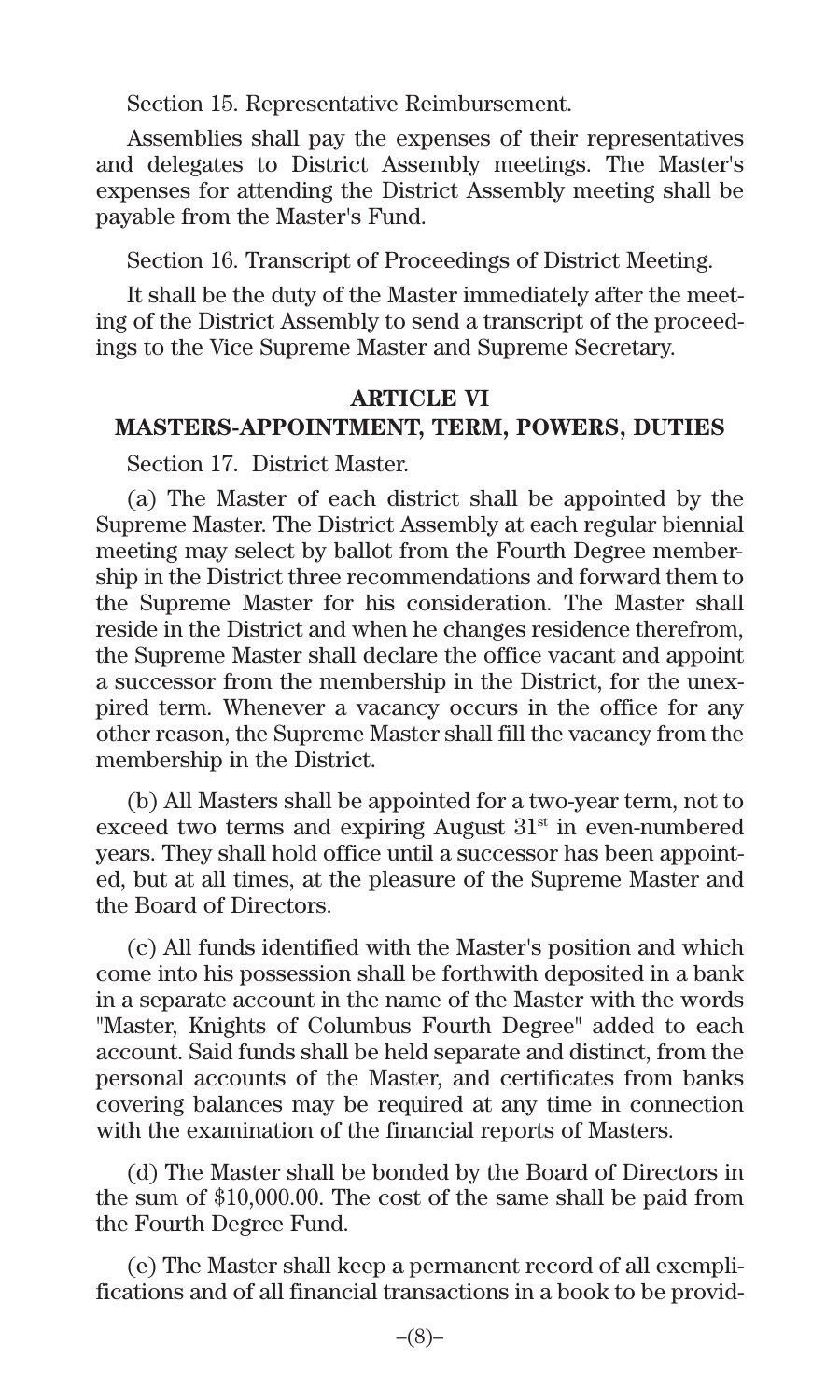Section 15. Representative Reimbursement.

Assemblies shall pay the expenses of their representatives and delegates to District Assembly meetings. The Master's expenses for attending the District Assembly meeting shall be payable from the Master's Fund.

Section 16. Transcript of Proceedings of District Meeting.

It shall be the duty of the Master immediately after the meeting of the District Assembly to send a transcript of the proceedings to the Vice Supreme Master and Supreme Secretary.

#### **ARTICLE VI**

#### **MASTERS-APPOINTMENT, TERM, POWERS, DUTIES**

Section 17. District Master.

(a) The Master of each district shall be appointed by the Supreme Master. The District Assembly at each regular biennial meeting may select by ballot from the Fourth Degree membership in the District three recommendations and forward them to the Supreme Master for his consideration. The Master shall reside in the District and when he changes residence therefrom, the Supreme Master shall declare the office vacant and appoint a successor from the membership in the District, for the unexpired term. Whenever a vacancy occurs in the office for any other reason, the Supreme Master shall fill the vacancy from the membership in the District.

(b) All Masters shall be appointed for a two-year term, not to exceed two terms and expiring August  $31<sup>st</sup>$  in even-numbered years. They shall hold office until a successor has been appointed, but at all times, at the pleasure of the Supreme Master and the Board of Directors.

(c) All funds identified with the Master's position and which come into his possession shall be forthwith deposited in a bank in a separate account in the name of the Master with the words "Master, Knights of Columbus Fourth Degree" added to each account. Said funds shall be held separate and distinct, from the personal accounts of the Master, and certificates from banks covering balances may be required at any time in connection with the examination of the financial reports of Masters.

(d) The Master shall be bonded by the Board of Directors in the sum of \$10,000.00. The cost of the same shall be paid from the Fourth Degree Fund.

(e) The Master shall keep a permanent record of all exemplifications and of all financial transactions in a book to be provid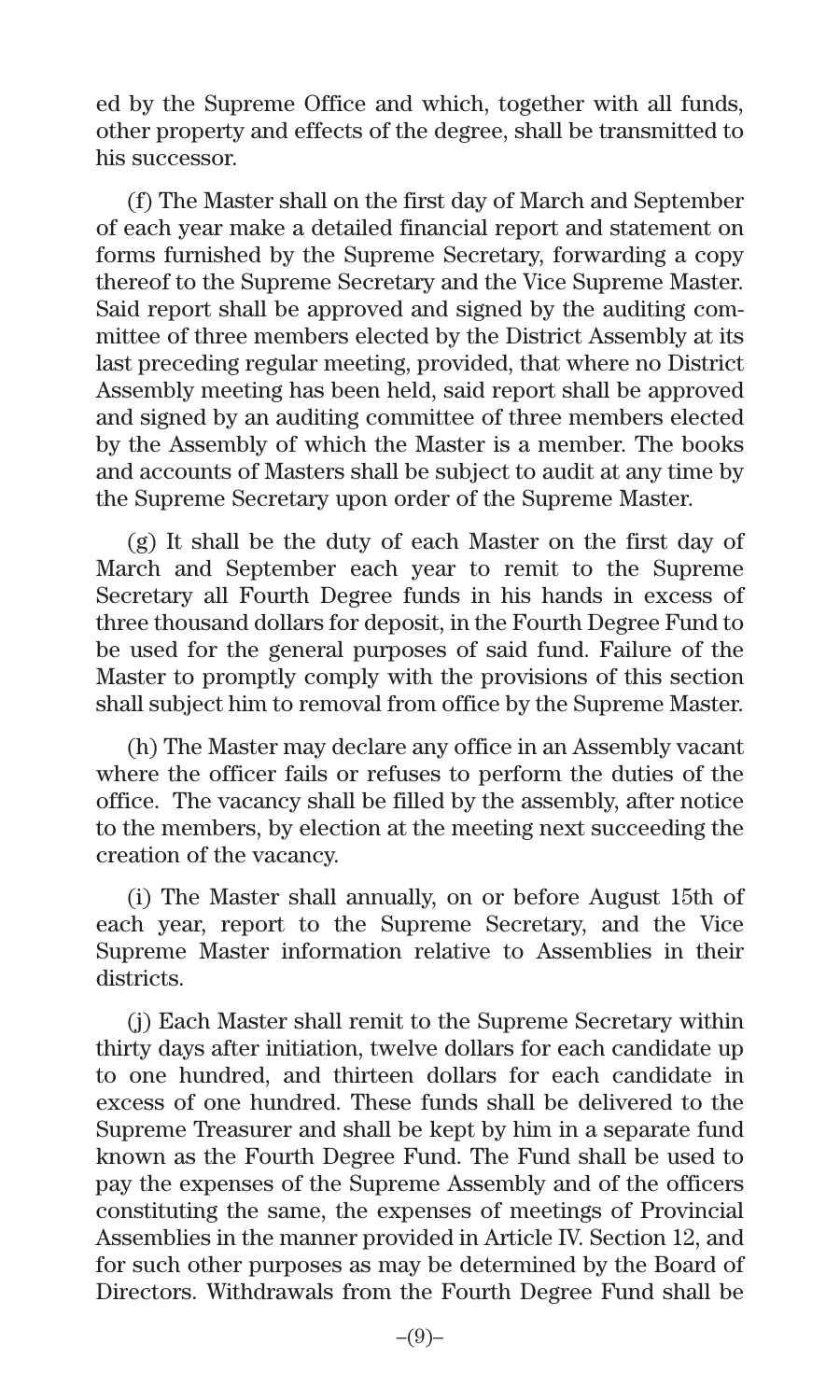ed by the Supreme Office and which, together with all funds, other property and effects of the degree, shall be transmitted to his successor.

(f) The Master shall on the first day of March and September of each year make a detailed financial report and statement on forms furnished by the Supreme Secretary, forwarding a copy thereof to the Supreme Secretary and the Vice Supreme Master. Said report shall be approved and signed by the auditing committee of three members elected by the District Assembly at its last preceding regular meeting, provided, that where no District Assembly meeting has been held, said report shall be approved and signed by an auditing committee of three members elected by the Assembly of which the Master is a member. The books and accounts of Masters shall be subject to audit at any time by the Supreme Secretary upon order of the Supreme Master.

(g) It shall be the duty of each Master on the first day of March and September each year to remit to the Supreme Secretary all Fourth Degree funds in his hands in excess of three thousand dollars for deposit, in the Fourth Degree Fund to be used for the general purposes of said fund. Failure of the Master to promptly comply with the provisions of this section shall subject him to removal from office by the Supreme Master.

(h) The Master may declare any office in an Assembly vacant where the officer fails or refuses to perform the duties of the office. The vacancy shall be filled by the assembly, after notice to the members, by election at the meeting next succeeding the creation of the vacancy.

(i) The Master shall annually, on or before August 15th of each year, report to the Supreme Secretary, and the Vice Supreme Master information relative to Assemblies in their districts.

(j) Each Master shall remit to the Supreme Secretary within thirty days after initiation, twelve dollars for each candidate up to one hundred, and thirteen dollars for each candidate in excess of one hundred. These funds shall be delivered to the Supreme Treasurer and shall be kept by him in a separate fund known as the Fourth Degree Fund. The Fund shall be used to pay the expenses of the Supreme Assembly and of the officers constituting the same, the expenses of meetings of Provincial Assemblies in the manner provided in Article IV. Section 12, and for such other purposes as may be determined by the Board of Directors. Withdrawals from the Fourth Degree Fund shall be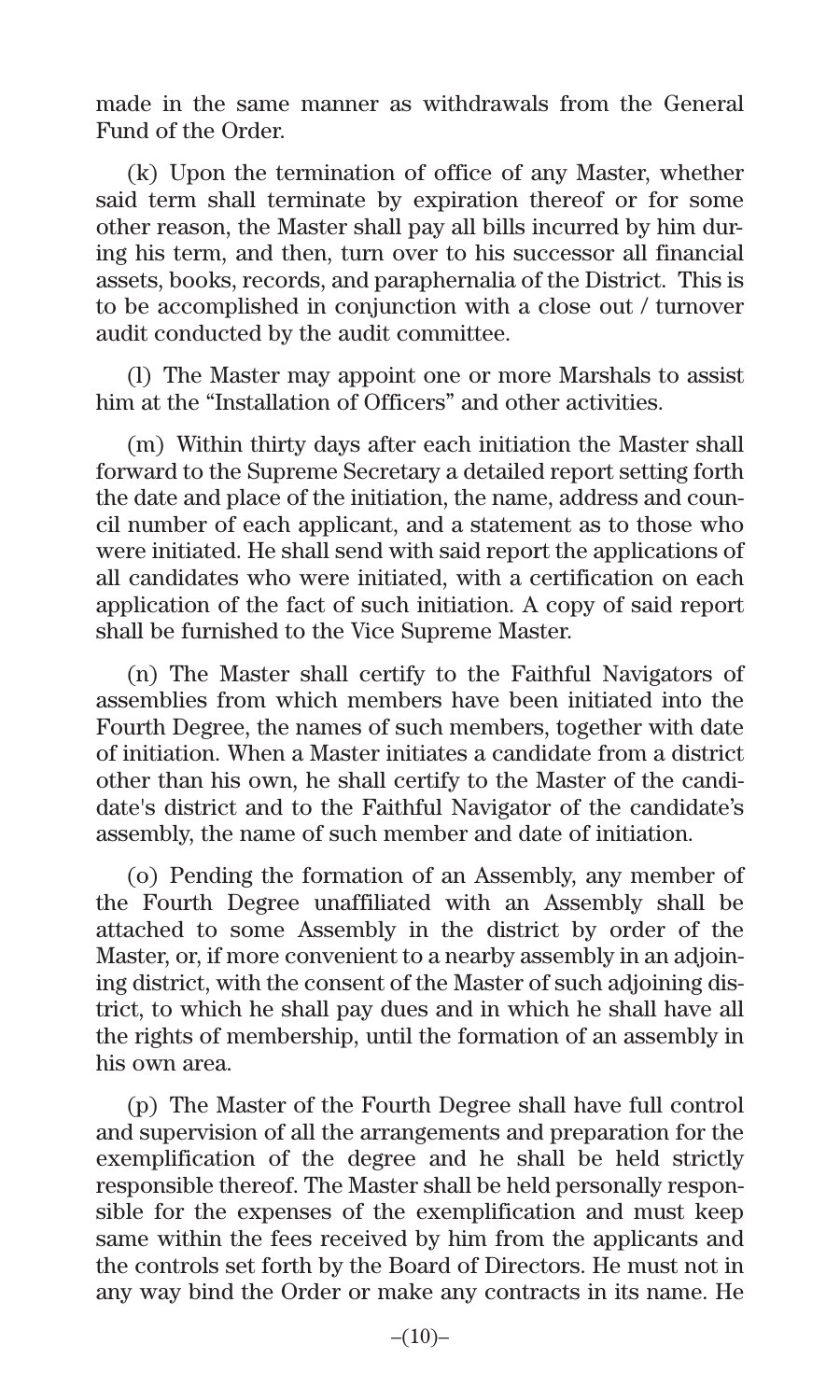made in the same manner as withdrawals from the General Fund of the Order.

(k) Upon the termination of office of any Master, whether said term shall terminate by expiration thereof or for some other reason, the Master shall pay all bills incurred by him during his term, and then, turn over to his successor all financial assets, books, records, and paraphernalia of the District. This is to be accomplished in conjunction with a close out / turnover audit conducted by the audit committee.

(l) The Master may appoint one or more Marshals to assist him at the "Installation of Officers" and other activities.

(m) Within thirty days after each initiation the Master shall forward to the Supreme Secretary a detailed report setting forth the date and place of the initiation, the name, address and council number of each applicant, and a statement as to those who were initiated. He shall send with said report the applications of all candidates who were initiated, with a certification on each application of the fact of such initiation. A copy of said report shall be furnished to the Vice Supreme Master.

(n) The Master shall certify to the Faithful Navigators of assemblies from which members have been initiated into the Fourth Degree, the names of such members, together with date of initiation. When a Master initiates a candidate from a district other than his own, he shall certify to the Master of the candidate's district and to the Faithful Navigator of the candidate's assembly, the name of such member and date of initiation.

(o) Pending the formation of an Assembly, any member of the Fourth Degree unaffiliated with an Assembly shall be attached to some Assembly in the district by order of the Master, or, if more convenient to a nearby assembly in an adjoining district, with the consent of the Master of such adjoining district, to which he shall pay dues and in which he shall have all the rights of membership, until the formation of an assembly in his own area.

(p) The Master of the Fourth Degree shall have full control and supervision of all the arrangements and preparation for the exemplification of the degree and he shall be held strictly responsible thereof. The Master shall be held personally responsible for the expenses of the exemplification and must keep same within the fees received by him from the applicants and the controls set forth by the Board of Directors. He must not in any way bind the Order or make any contracts in its name. He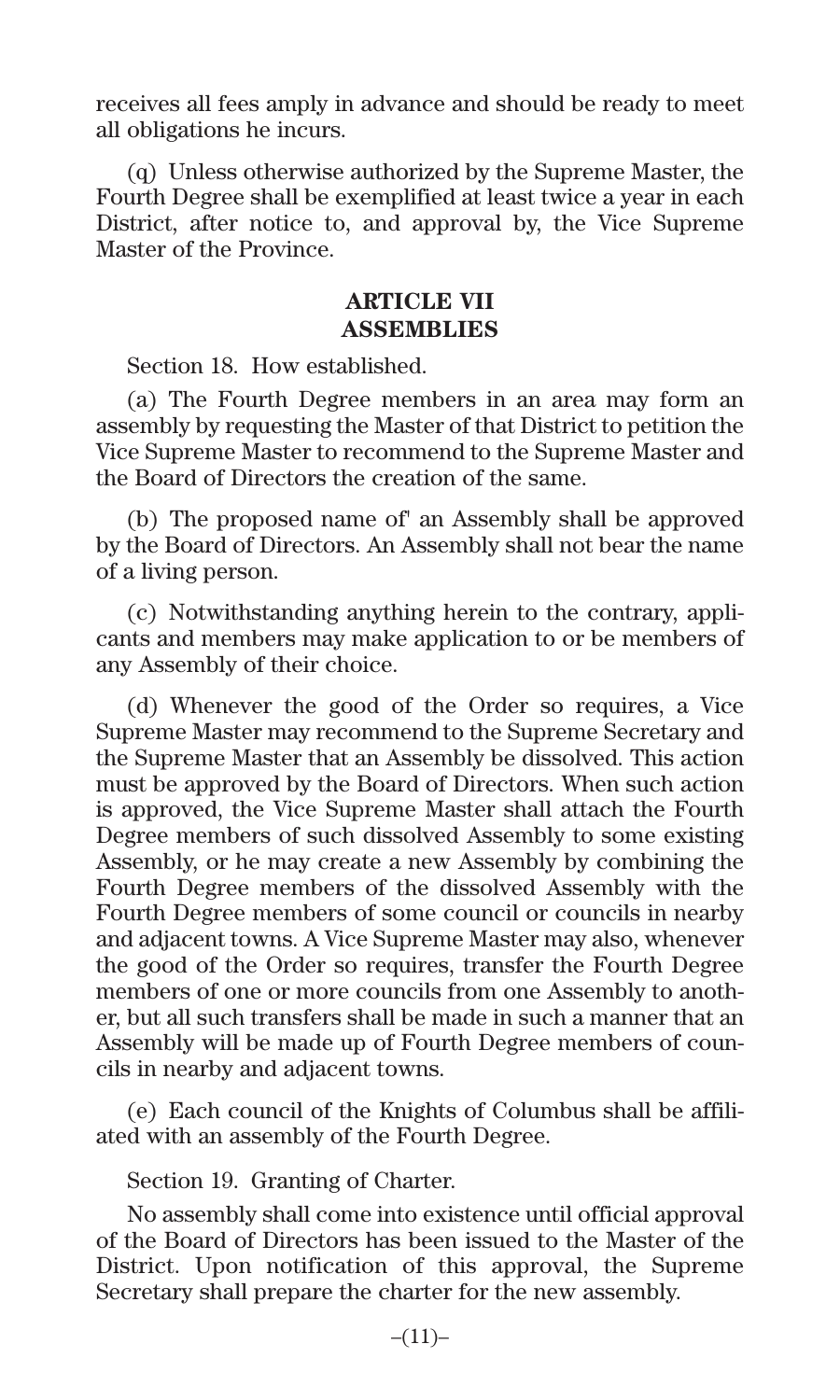receives all fees amply in advance and should be ready to meet all obligations he incurs.

(q) Unless otherwise authorized by the Supreme Master, the Fourth Degree shall be exemplified at least twice a year in each District, after notice to, and approval by, the Vice Supreme Master of the Province.

#### **ARTICLE VII ASSEMBLIES**

Section 18. How established.

(a) The Fourth Degree members in an area may form an assembly by requesting the Master of that District to petition the Vice Supreme Master to recommend to the Supreme Master and the Board of Directors the creation of the same.

(b) The proposed name of' an Assembly shall be approved by the Board of Directors. An Assembly shall not bear the name of a living person.

(c) Notwithstanding anything herein to the contrary, applicants and members may make application to or be members of any Assembly of their choice.

(d) Whenever the good of the Order so requires, a Vice Supreme Master may recommend to the Supreme Secretary and the Supreme Master that an Assembly be dissolved. This action must be approved by the Board of Directors. When such action is approved, the Vice Supreme Master shall attach the Fourth Degree members of such dissolved Assembly to some existing Assembly, or he may create a new Assembly by combining the Fourth Degree members of the dissolved Assembly with the Fourth Degree members of some council or councils in nearby and adjacent towns. A Vice Supreme Master may also, whenever the good of the Order so requires, transfer the Fourth Degree members of one or more councils from one Assembly to another, but all such transfers shall be made in such a manner that an Assembly will be made up of Fourth Degree members of councils in nearby and adjacent towns.

(e) Each council of the Knights of Columbus shall be affiliated with an assembly of the Fourth Degree.

Section 19. Granting of Charter.

No assembly shall come into existence until official approval of the Board of Directors has been issued to the Master of the District. Upon notification of this approval, the Supreme Secretary shall prepare the charter for the new assembly.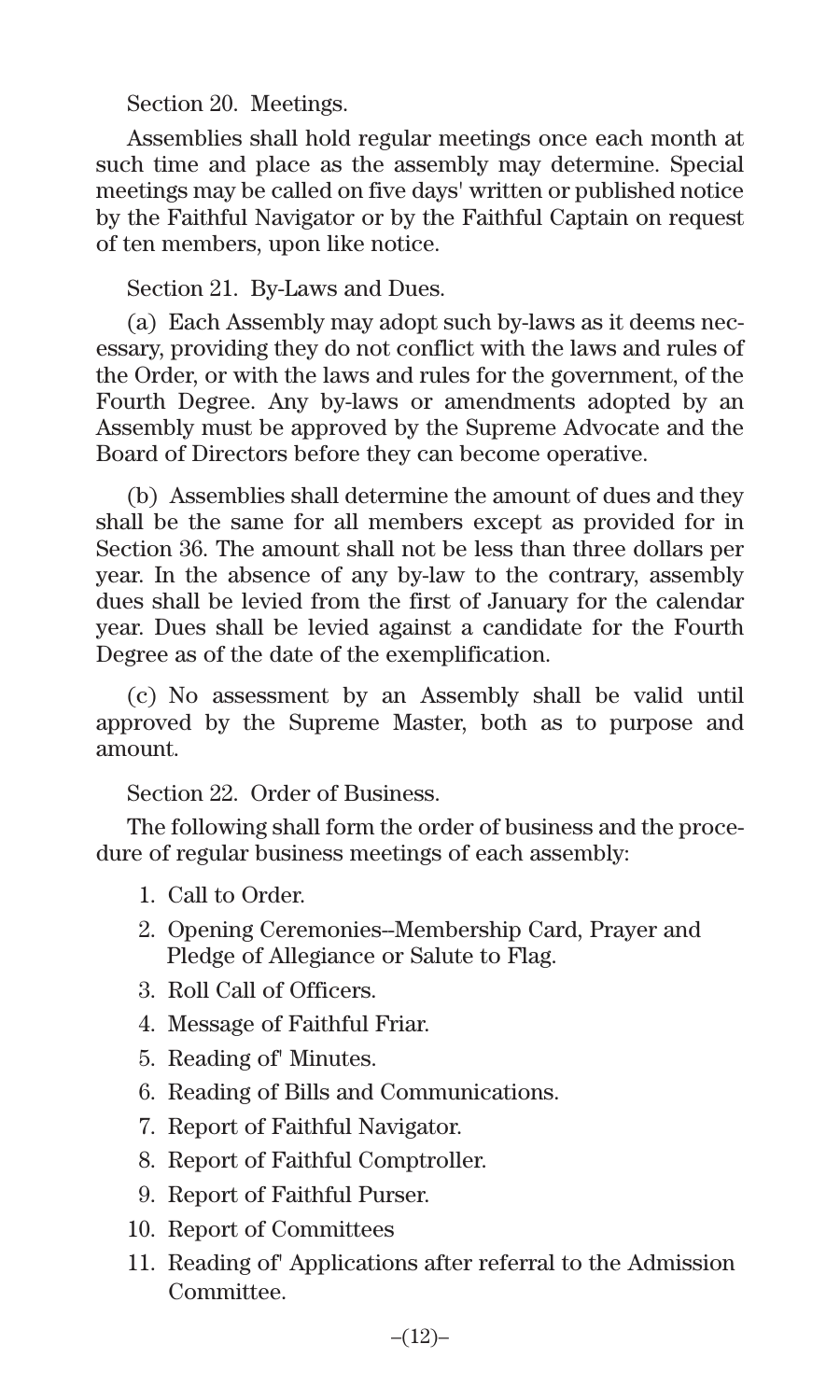Section 20. Meetings.

Assemblies shall hold regular meetings once each month at such time and place as the assembly may determine. Special meetings may be called on five days' written or published notice by the Faithful Navigator or by the Faithful Captain on request of ten members, upon like notice.

Section 21. By-Laws and Dues.

(a) Each Assembly may adopt such by-laws as it deems necessary, providing they do not conflict with the laws and rules of the Order, or with the laws and rules for the government, of the Fourth Degree. Any by-laws or amendments adopted by an Assembly must be approved by the Supreme Advocate and the Board of Directors before they can become operative.

(b) Assemblies shall determine the amount of dues and they shall be the same for all members except as provided for in Section 36. The amount shall not be less than three dollars per year. In the absence of any by-law to the contrary, assembly dues shall be levied from the first of January for the calendar year. Dues shall be levied against a candidate for the Fourth Degree as of the date of the exemplification.

(c) No assessment by an Assembly shall be valid until approved by the Supreme Master, both as to purpose and amount.

Section 22. Order of Business.

The following shall form the order of business and the procedure of regular business meetings of each assembly:

- 1. Call to Order.
- 2. Opening Ceremonies--Membership Card, Prayer and Pledge of Allegiance or Salute to Flag.
- 3. Roll Call of Officers.
- 4. Message of Faithful Friar.
- 5. Reading of' Minutes.
- 6. Reading of Bills and Communications.
- 7. Report of Faithful Navigator.
- 8. Report of Faithful Comptroller.
- 9. Report of Faithful Purser.
- 10. Report of Committees
- 11. Reading of' Applications after referral to the Admission Committee.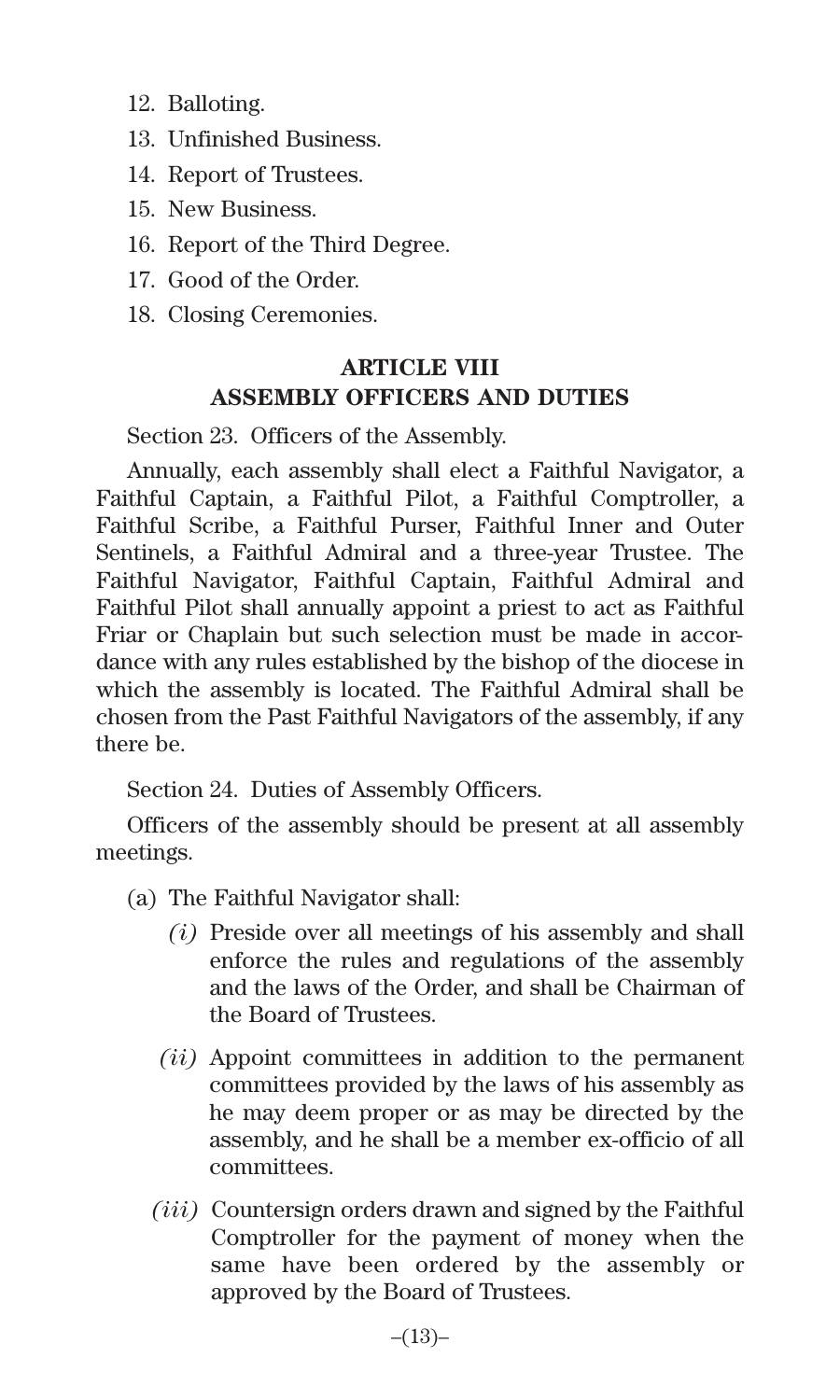- 12. Balloting.
- 13. Unfinished Business.
- 14. Report of Trustees.
- 15. New Business.
- 16. Report of the Third Degree.
- 17. Good of the Order.
- 18. Closing Ceremonies.

## **ARTICLE VIII ASSEMBLY OFFICERS AND DUTIES**

Section 23. Officers of the Assembly.

Annually, each assembly shall elect a Faithful Navigator, a Faithful Captain, a Faithful Pilot, a Faithful Comptroller, a Faithful Scribe, a Faithful Purser, Faithful Inner and Outer Sentinels, a Faithful Admiral and a three-year Trustee. The Faithful Navigator, Faithful Captain, Faithful Admiral and Faithful Pilot shall annually appoint a priest to act as Faithful Friar or Chaplain but such selection must be made in accordance with any rules established by the bishop of the diocese in which the assembly is located. The Faithful Admiral shall be chosen from the Past Faithful Navigators of the assembly, if any there be.

Section 24. Duties of Assembly Officers.

Officers of the assembly should be present at all assembly meetings.

- (a) The Faithful Navigator shall:
	- *(i)* Preside over all meetings of his assembly and shall enforce the rules and regulations of the assembly and the laws of the Order, and shall be Chairman of the Board of Trustees.
	- *(ii)* Appoint committees in addition to the permanent committees provided by the laws of his assembly as he may deem proper or as may be directed by the assembly, and he shall be a member ex-officio of all committees.
	- *(iii)* Countersign orders drawn and signed by the Faithful Comptroller for the payment of money when the same have been ordered by the assembly or approved by the Board of Trustees.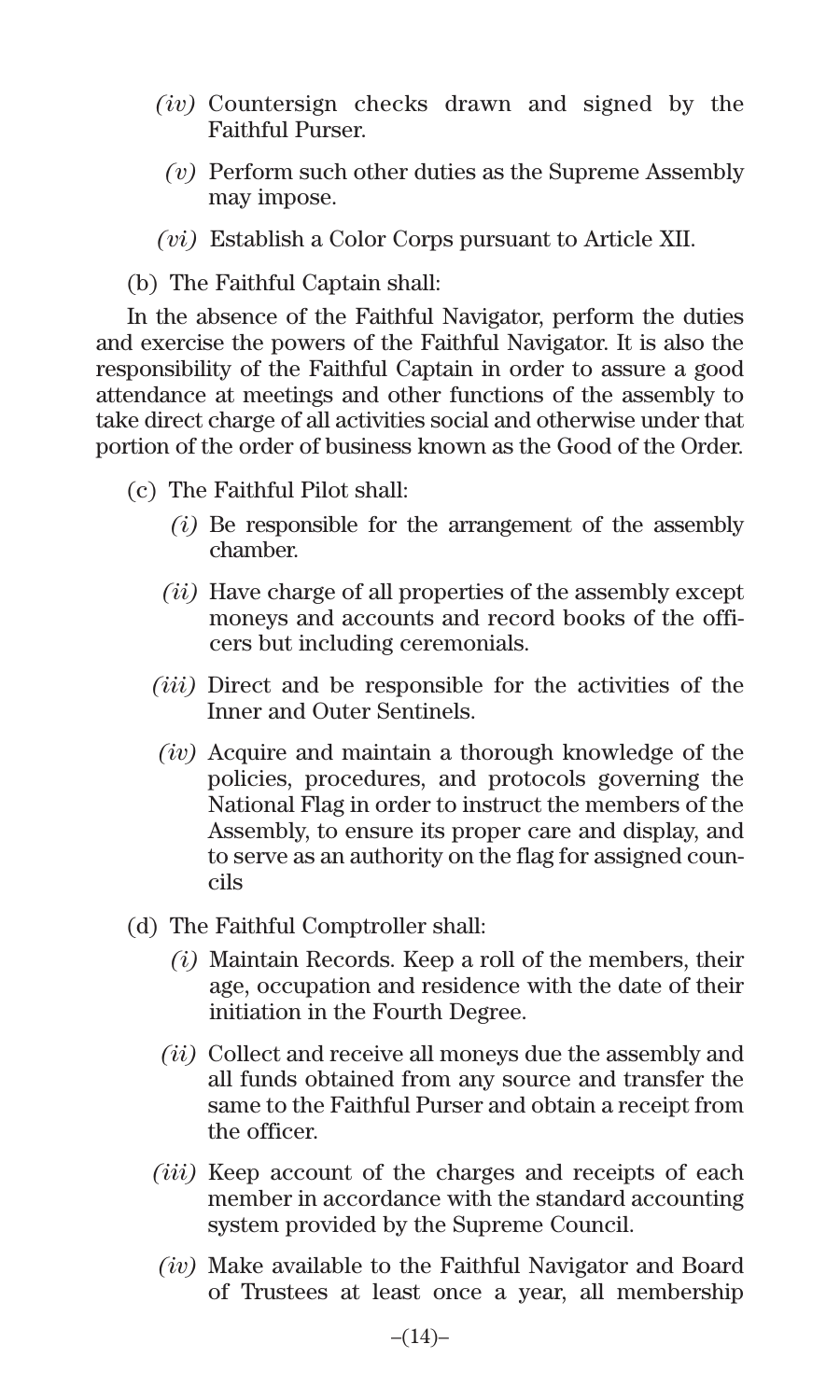- *(iv)* Countersign checks drawn and signed by the Faithful Purser.
	- *(v)* Perform such other duties as the Supreme Assembly may impose.
- *(vi)* Establish a Color Corps pursuant to Article XII.

(b) The Faithful Captain shall:

In the absence of the Faithful Navigator, perform the duties and exercise the powers of the Faithful Navigator. It is also the responsibility of the Faithful Captain in order to assure a good attendance at meetings and other functions of the assembly to take direct charge of all activities social and otherwise under that portion of the order of business known as the Good of the Order.

- (c) The Faithful Pilot shall:
	- *(i)* Be responsible for the arrangement of the assembly chamber.
	- *(ii)* Have charge of all properties of the assembly except moneys and accounts and record books of the officers but including ceremonials.
	- *(iii)* Direct and be responsible for the activities of the Inner and Outer Sentinels.
	- *(iv)* Acquire and maintain a thorough knowledge of the policies, procedures, and protocols governing the National Flag in order to instruct the members of the Assembly, to ensure its proper care and display, and to serve as an authority on the flag for assigned councils
- (d) The Faithful Comptroller shall:
	- *(i)* Maintain Records. Keep a roll of the members, their age, occupation and residence with the date of their initiation in the Fourth Degree.
	- *(ii)* Collect and receive all moneys due the assembly and all funds obtained from any source and transfer the same to the Faithful Purser and obtain a receipt from the officer.
	- *(iii)* Keep account of the charges and receipts of each member in accordance with the standard accounting system provided by the Supreme Council.
	- *(iv)* Make available to the Faithful Navigator and Board of Trustees at least once a year, all membership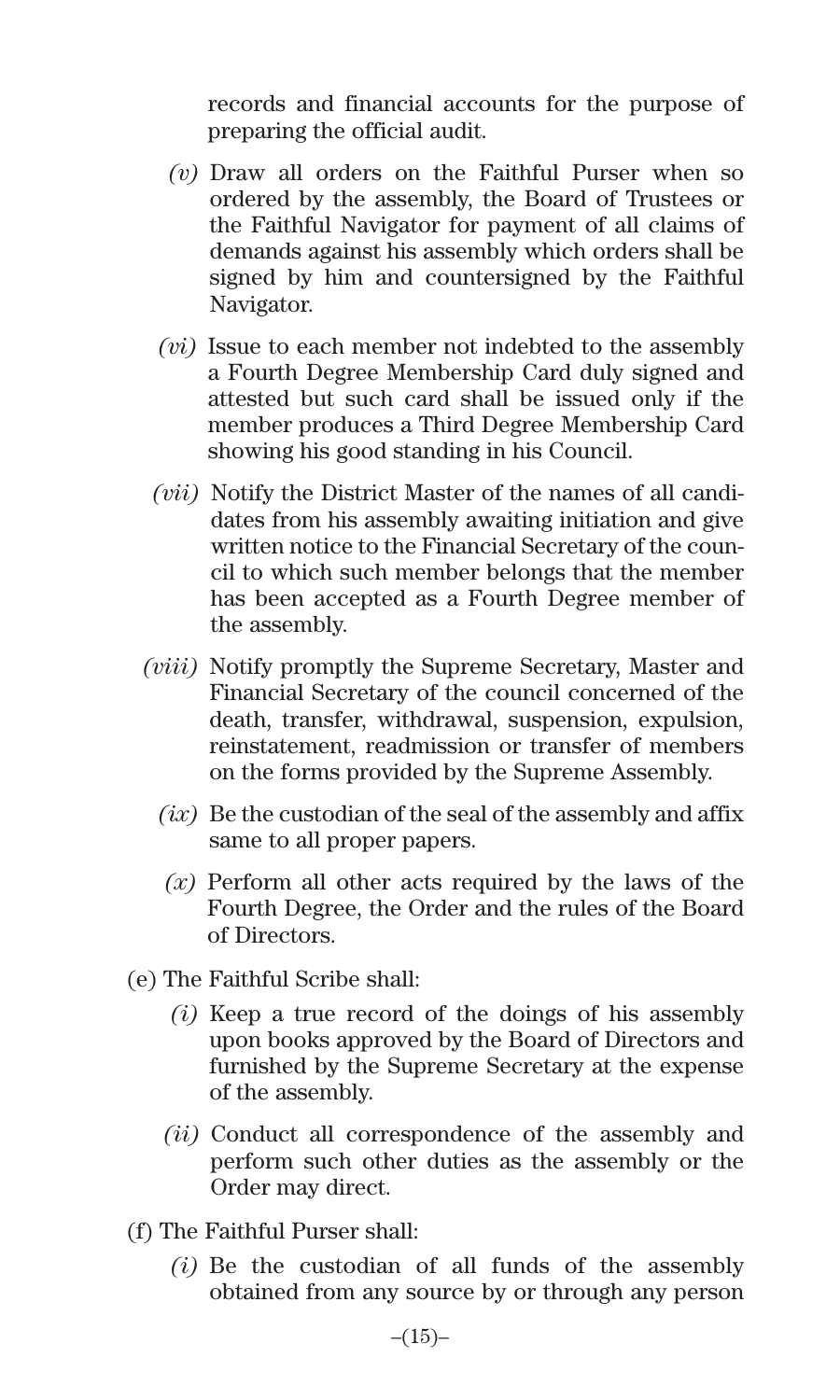records and financial accounts for the purpose of preparing the official audit.

- *(v)* Draw all orders on the Faithful Purser when so ordered by the assembly, the Board of Trustees or the Faithful Navigator for payment of all claims of demands against his assembly which orders shall be signed by him and countersigned by the Faithful Navigator.
- *(vi)* Issue to each member not indebted to the assembly a Fourth Degree Membership Card duly signed and attested but such card shall be issued only if the member produces a Third Degree Membership Card showing his good standing in his Council.
- *(vii)* Notify the District Master of the names of all candidates from his assembly awaiting initiation and give written notice to the Financial Secretary of the council to which such member belongs that the member has been accepted as a Fourth Degree member of the assembly.
- *(viii)* Notify promptly the Supreme Secretary, Master and Financial Secretary of the council concerned of the death, transfer, withdrawal, suspension, expulsion, reinstatement, readmission or transfer of members on the forms provided by the Supreme Assembly.
	- *(ix)* Be the custodian of the seal of the assembly and affix same to all proper papers.
	- *(x)* Perform all other acts required by the laws of the Fourth Degree, the Order and the rules of the Board of Directors.
- (e) The Faithful Scribe shall:
	- *(i)* Keep a true record of the doings of his assembly upon books approved by the Board of Directors and furnished by the Supreme Secretary at the expense of the assembly.
	- *(ii)* Conduct all correspondence of the assembly and perform such other duties as the assembly or the Order may direct.
- (f) The Faithful Purser shall:
	- *(i)* Be the custodian of all funds of the assembly obtained from any source by or through any person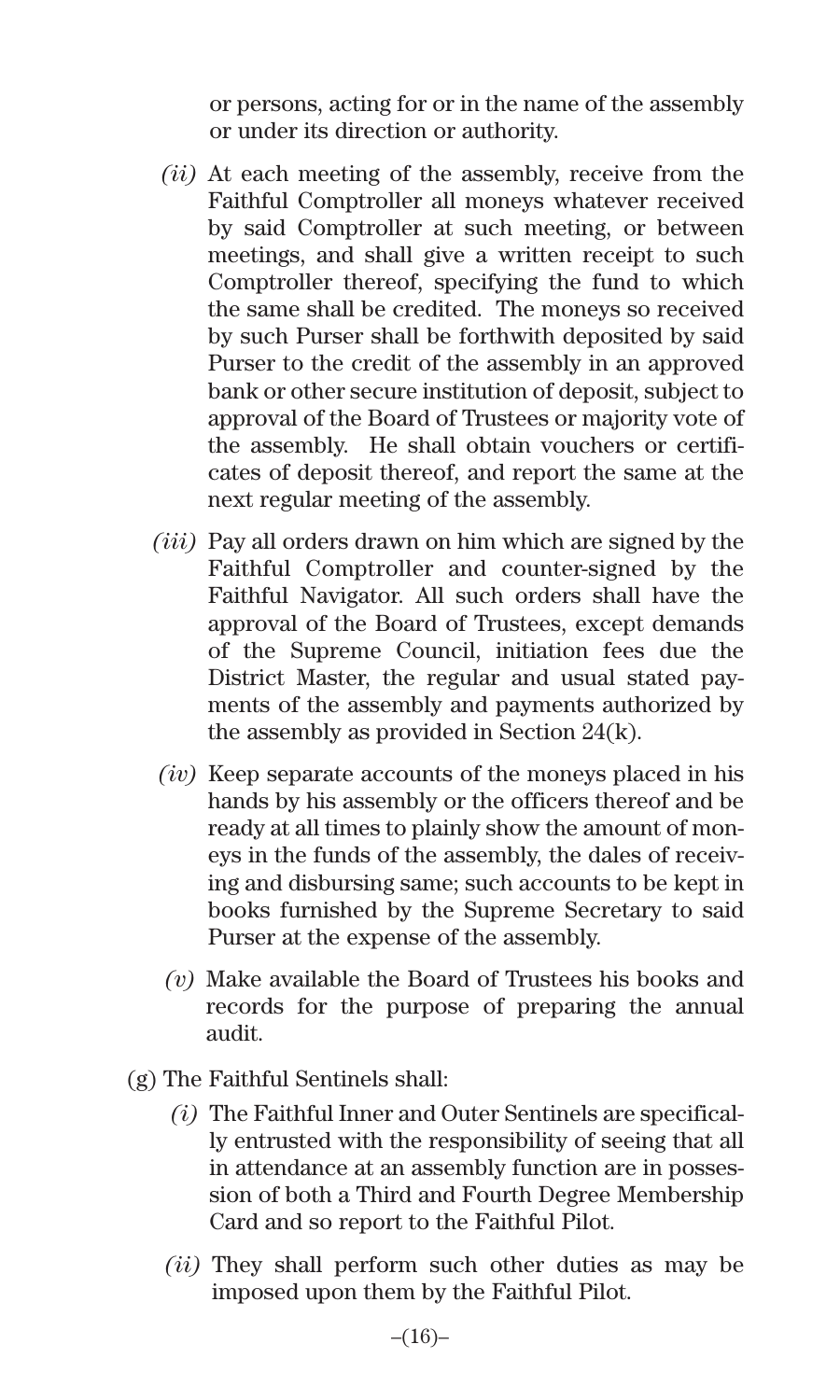or persons, acting for or in the name of the assembly or under its direction or authority.

- *(ii)* At each meeting of the assembly, receive from the Faithful Comptroller all moneys whatever received by said Comptroller at such meeting, or between meetings, and shall give a written receipt to such Comptroller thereof, specifying the fund to which the same shall be credited. The moneys so received by such Purser shall be forthwith deposited by said Purser to the credit of the assembly in an approved bank or other secure institution of deposit, subject to approval of the Board of Trustees or majority vote of the assembly. He shall obtain vouchers or certificates of deposit thereof, and report the same at the next regular meeting of the assembly.
- *(iii)* Pay all orders drawn on him which are signed by the Faithful Comptroller and counter-signed by the Faithful Navigator. All such orders shall have the approval of the Board of Trustees, except demands of the Supreme Council, initiation fees due the District Master, the regular and usual stated payments of the assembly and payments authorized by the assembly as provided in Section 24(k).
- *(iv)* Keep separate accounts of the moneys placed in his hands by his assembly or the officers thereof and be ready at all times to plainly show the amount of moneys in the funds of the assembly, the dales of receiving and disbursing same; such accounts to be kept in books furnished by the Supreme Secretary to said Purser at the expense of the assembly.
- *(v)* Make available the Board of Trustees his books and records for the purpose of preparing the annual audit.
- (g) The Faithful Sentinels shall:
	- *(i)* The Faithful Inner and Outer Sentinels are specifically entrusted with the responsibility of seeing that all in attendance at an assembly function are in possession of both a Third and Fourth Degree Membership Card and so report to the Faithful Pilot.
	- *(ii)* They shall perform such other duties as may be imposed upon them by the Faithful Pilot.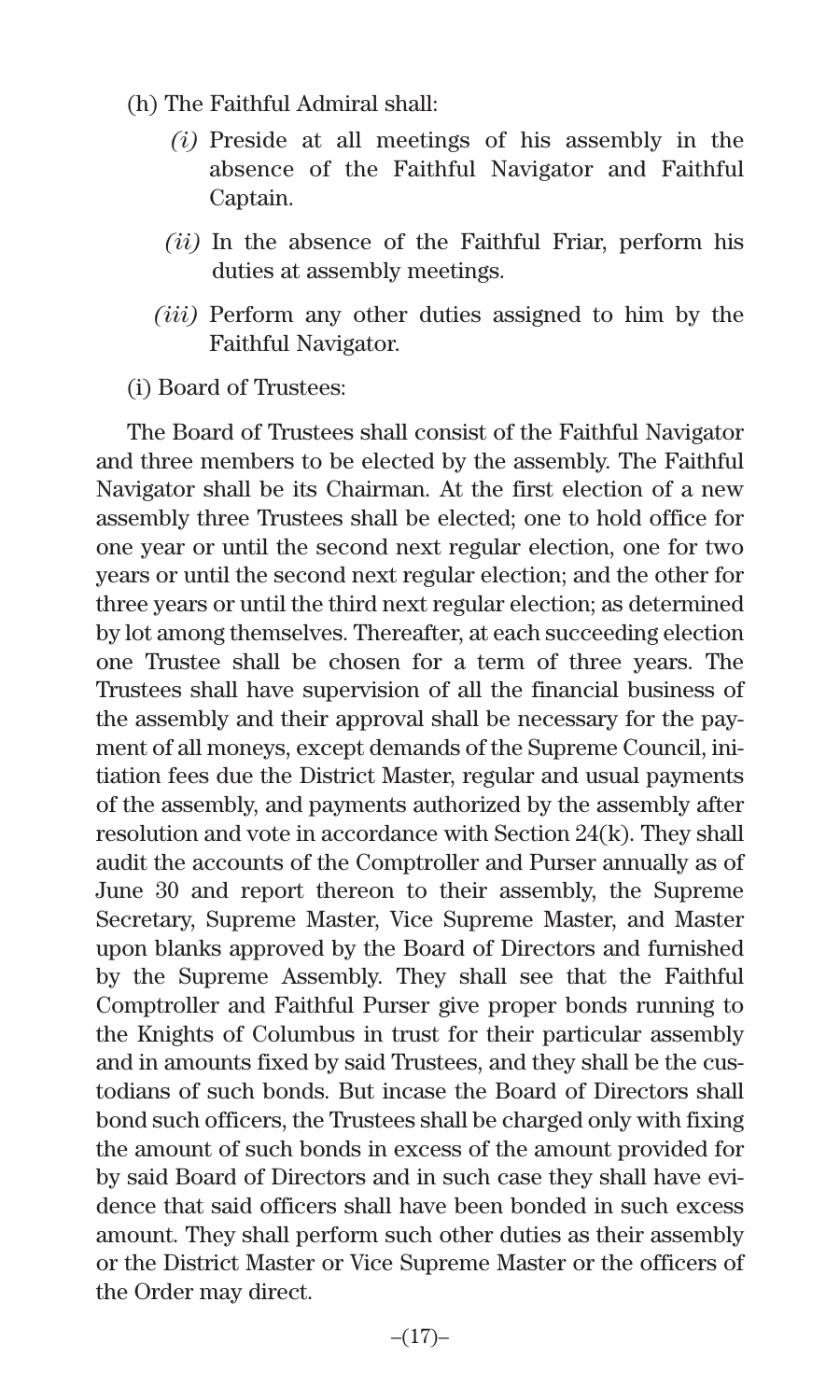- (h) The Faithful Admiral shall:
	- *(i)* Preside at all meetings of his assembly in the absence of the Faithful Navigator and Faithful Captain.
	- *(ii)* In the absence of the Faithful Friar, perform his duties at assembly meetings.
	- *(iii)* Perform any other duties assigned to him by the Faithful Navigator.
- (i) Board of Trustees:

The Board of Trustees shall consist of the Faithful Navigator and three members to be elected by the assembly. The Faithful Navigator shall be its Chairman. At the first election of a new assembly three Trustees shall be elected; one to hold office for one year or until the second next regular election, one for two years or until the second next regular election; and the other for three years or until the third next regular election; as determined by lot among themselves. Thereafter, at each succeeding election one Trustee shall be chosen for a term of three years. The Trustees shall have supervision of all the financial business of the assembly and their approval shall be necessary for the payment of all moneys, except demands of the Supreme Council, initiation fees due the District Master, regular and usual payments of the assembly, and payments authorized by the assembly after resolution and vote in accordance with Section 24(k). They shall audit the accounts of the Comptroller and Purser annually as of June 30 and report thereon to their assembly, the Supreme Secretary, Supreme Master, Vice Supreme Master, and Master upon blanks approved by the Board of Directors and furnished by the Supreme Assembly. They shall see that the Faithful Comptroller and Faithful Purser give proper bonds running to the Knights of Columbus in trust for their particular assembly and in amounts fixed by said Trustees, and they shall be the custodians of such bonds. But incase the Board of Directors shall bond such officers, the Trustees shall be charged only with fixing the amount of such bonds in excess of the amount provided for by said Board of Directors and in such case they shall have evidence that said officers shall have been bonded in such excess amount. They shall perform such other duties as their assembly or the District Master or Vice Supreme Master or the officers of the Order may direct.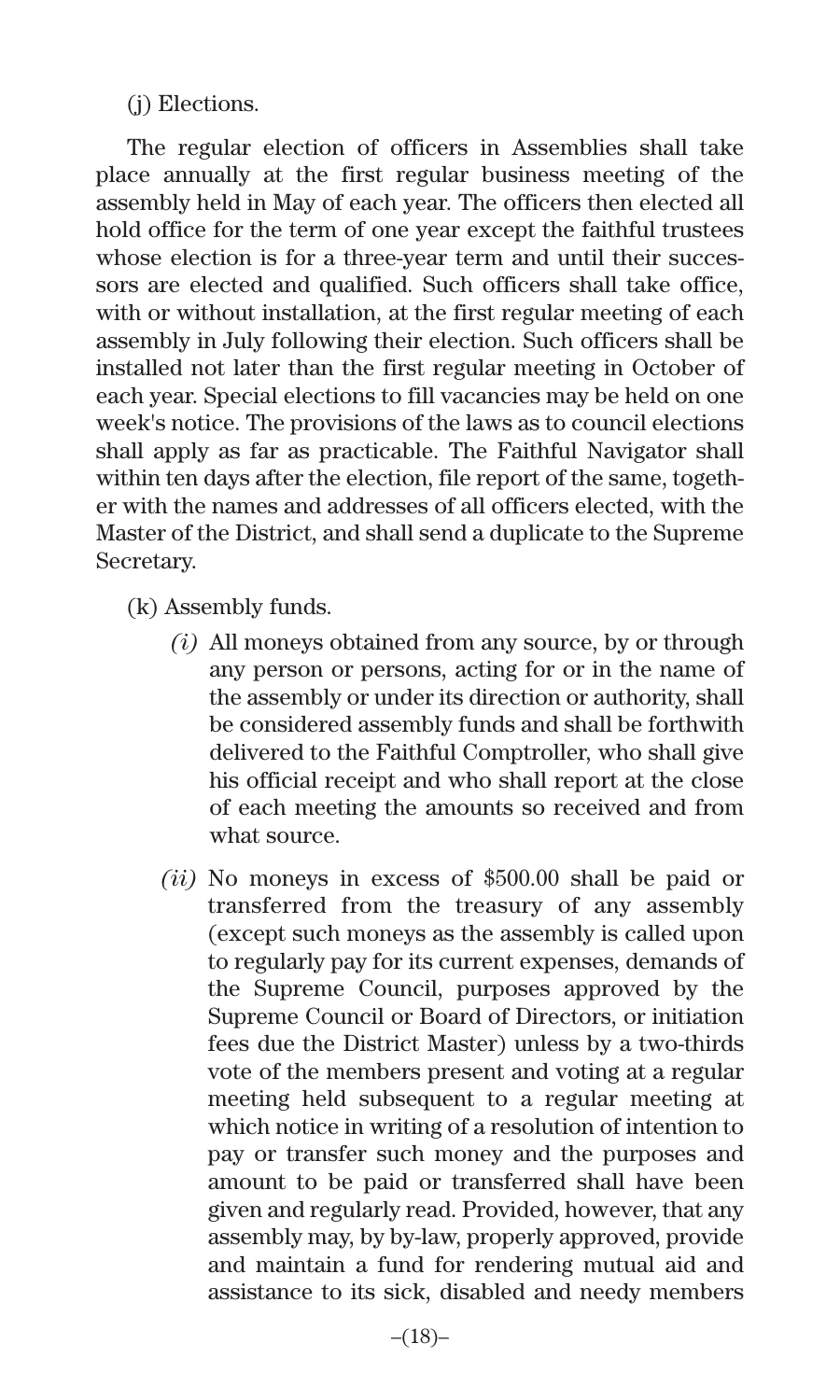(j) Elections.

The regular election of officers in Assemblies shall take place annually at the first regular business meeting of the assembly held in May of each year. The officers then elected all hold office for the term of one year except the faithful trustees whose election is for a three-year term and until their successors are elected and qualified. Such officers shall take office, with or without installation, at the first regular meeting of each assembly in July following their election. Such officers shall be installed not later than the first regular meeting in October of each year. Special elections to fill vacancies may be held on one week's notice. The provisions of the laws as to council elections shall apply as far as practicable. The Faithful Navigator shall within ten days after the election, file report of the same, together with the names and addresses of all officers elected, with the Master of the District, and shall send a duplicate to the Supreme Secretary.

- (k) Assembly funds.
	- *(i)* All moneys obtained from any source, by or through any person or persons, acting for or in the name of the assembly or under its direction or authority, shall be considered assembly funds and shall be forthwith delivered to the Faithful Comptroller, who shall give his official receipt and who shall report at the close of each meeting the amounts so received and from what source.
	- *(ii)* No moneys in excess of \$500.00 shall be paid or transferred from the treasury of any assembly (except such moneys as the assembly is called upon to regularly pay for its current expenses, demands of the Supreme Council, purposes approved by the Supreme Council or Board of Directors, or initiation fees due the District Master) unless by a two-thirds vote of the members present and voting at a regular meeting held subsequent to a regular meeting at which notice in writing of a resolution of intention to pay or transfer such money and the purposes and amount to be paid or transferred shall have been given and regularly read. Provided, however, that any assembly may, by by-law, properly approved, provide and maintain a fund for rendering mutual aid and assistance to its sick, disabled and needy members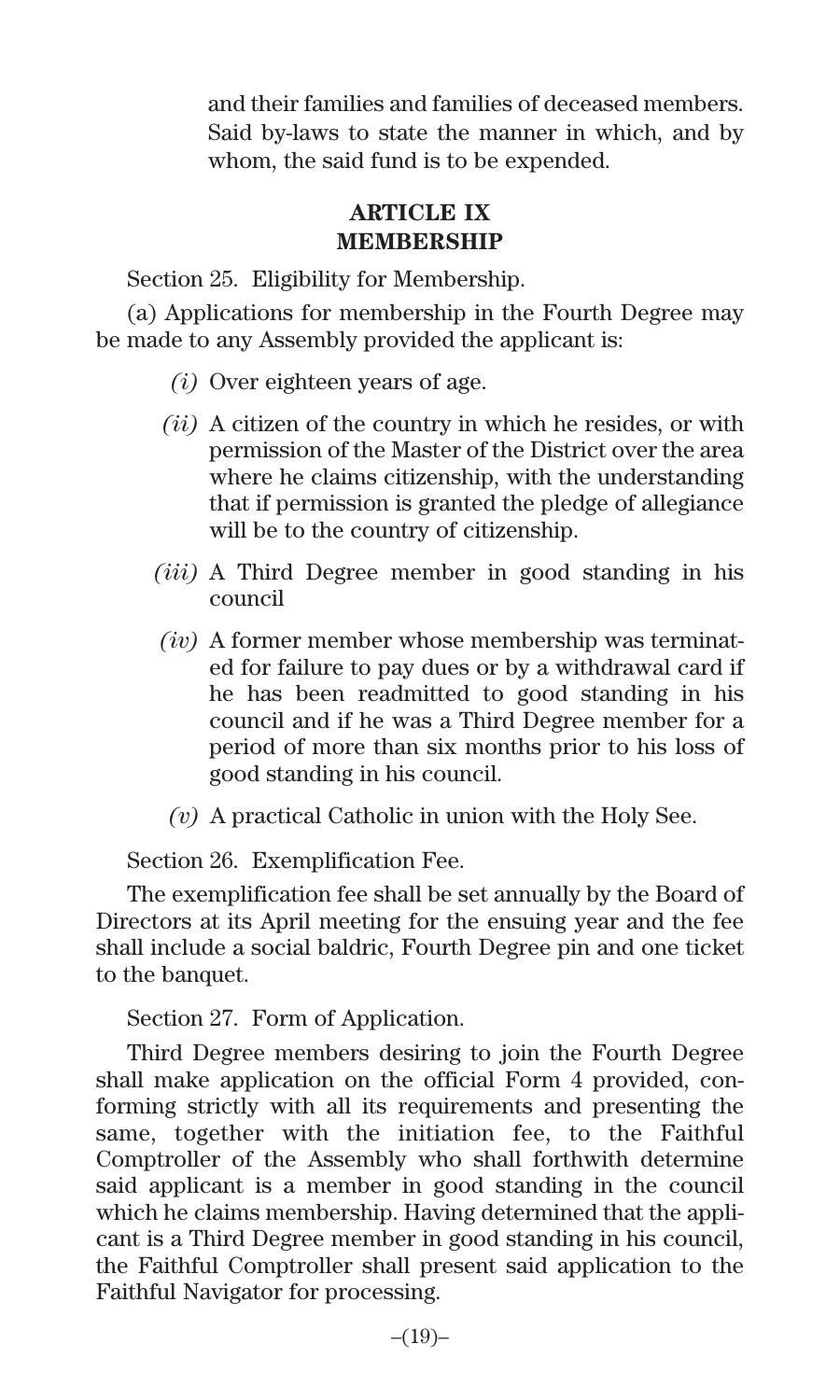and their families and families of deceased members. Said by-laws to state the manner in which, and by whom, the said fund is to be expended.

#### **ARTICLE IX MEMBERSHIP**

Section 25. Eligibility for Membership.

(a) Applications for membership in the Fourth Degree may be made to any Assembly provided the applicant is:

- *(i)* Over eighteen years of age.
- *(ii)* A citizen of the country in which he resides, or with permission of the Master of the District over the area where he claims citizenship, with the understanding that if permission is granted the pledge of allegiance will be to the country of citizenship.
- *(iii)* A Third Degree member in good standing in his council
- *(iv)* A former member whose membership was terminated for failure to pay dues or by a withdrawal card if he has been readmitted to good standing in his council and if he was a Third Degree member for a period of more than six months prior to his loss of good standing in his council.
- *(v)* A practical Catholic in union with the Holy See.

Section 26. Exemplification Fee.

The exemplification fee shall be set annually by the Board of Directors at its April meeting for the ensuing year and the fee shall include a social baldric, Fourth Degree pin and one ticket to the banquet.

Section 27. Form of Application.

Third Degree members desiring to join the Fourth Degree shall make application on the official Form 4 provided, conforming strictly with all its requirements and presenting the same, together with the initiation fee, to the Faithful Comptroller of the Assembly who shall forthwith determine said applicant is a member in good standing in the council which he claims membership. Having determined that the applicant is a Third Degree member in good standing in his council, the Faithful Comptroller shall present said application to the Faithful Navigator for processing.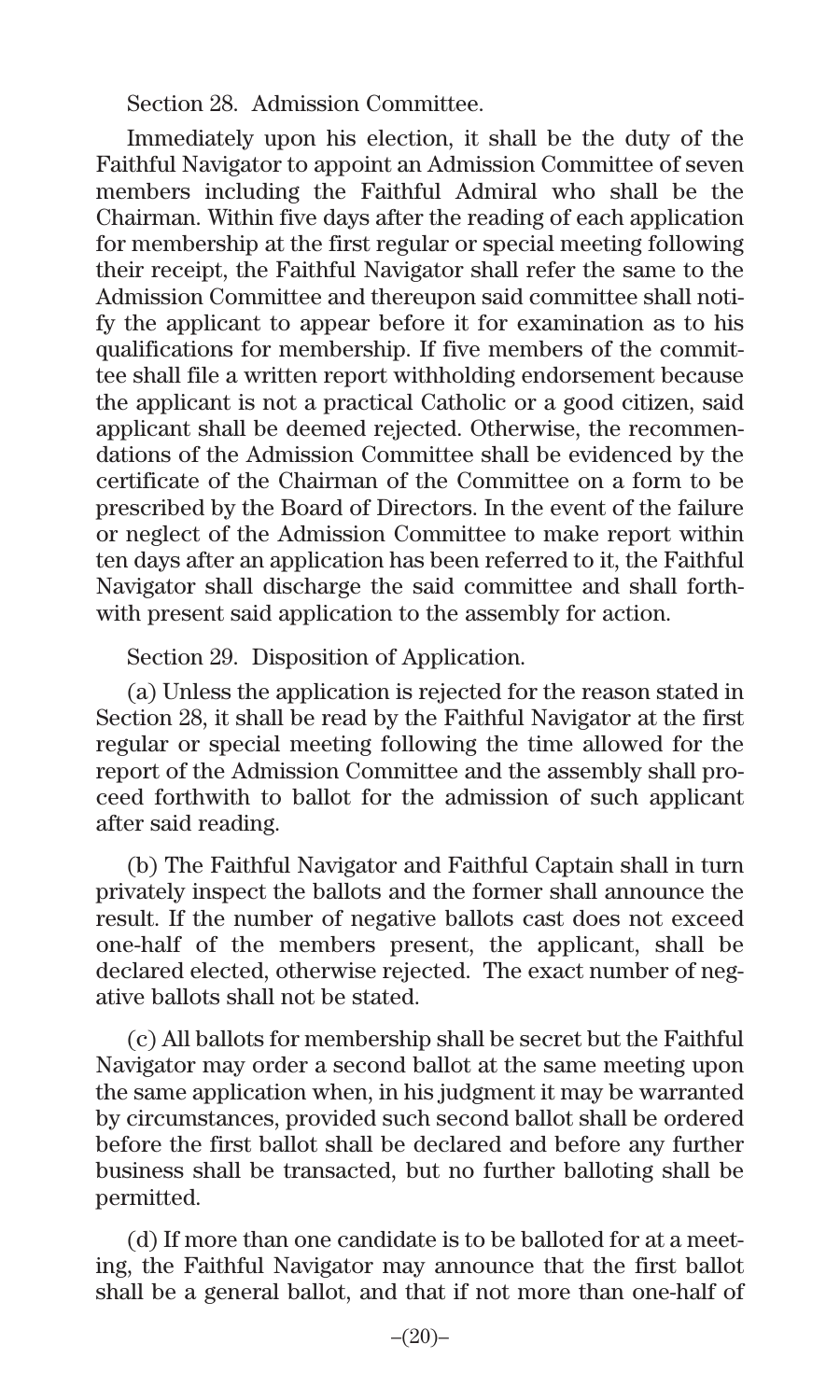Section 28. Admission Committee.

Immediately upon his election, it shall be the duty of the Faithful Navigator to appoint an Admission Committee of seven members including the Faithful Admiral who shall be the Chairman. Within five days after the reading of each application for membership at the first regular or special meeting following their receipt, the Faithful Navigator shall refer the same to the Admission Committee and thereupon said committee shall notify the applicant to appear before it for examination as to his qualifications for membership. If five members of the committee shall file a written report withholding endorsement because the applicant is not a practical Catholic or a good citizen, said applicant shall be deemed rejected. Otherwise, the recommendations of the Admission Committee shall be evidenced by the certificate of the Chairman of the Committee on a form to be prescribed by the Board of Directors. In the event of the failure or neglect of the Admission Committee to make report within ten days after an application has been referred to it, the Faithful Navigator shall discharge the said committee and shall forthwith present said application to the assembly for action.

Section 29. Disposition of Application.

(a) Unless the application is rejected for the reason stated in Section 28, it shall be read by the Faithful Navigator at the first regular or special meeting following the time allowed for the report of the Admission Committee and the assembly shall proceed forthwith to ballot for the admission of such applicant after said reading.

(b) The Faithful Navigator and Faithful Captain shall in turn privately inspect the ballots and the former shall announce the result. If the number of negative ballots cast does not exceed one-half of the members present, the applicant, shall be declared elected, otherwise rejected. The exact number of negative ballots shall not be stated.

(c) All ballots for membership shall be secret but the Faithful Navigator may order a second ballot at the same meeting upon the same application when, in his judgment it may be warranted by circumstances, provided such second ballot shall be ordered before the first ballot shall be declared and before any further business shall be transacted, but no further balloting shall be permitted.

(d) If more than one candidate is to be balloted for at a meeting, the Faithful Navigator may announce that the first ballot shall be a general ballot, and that if not more than one-half of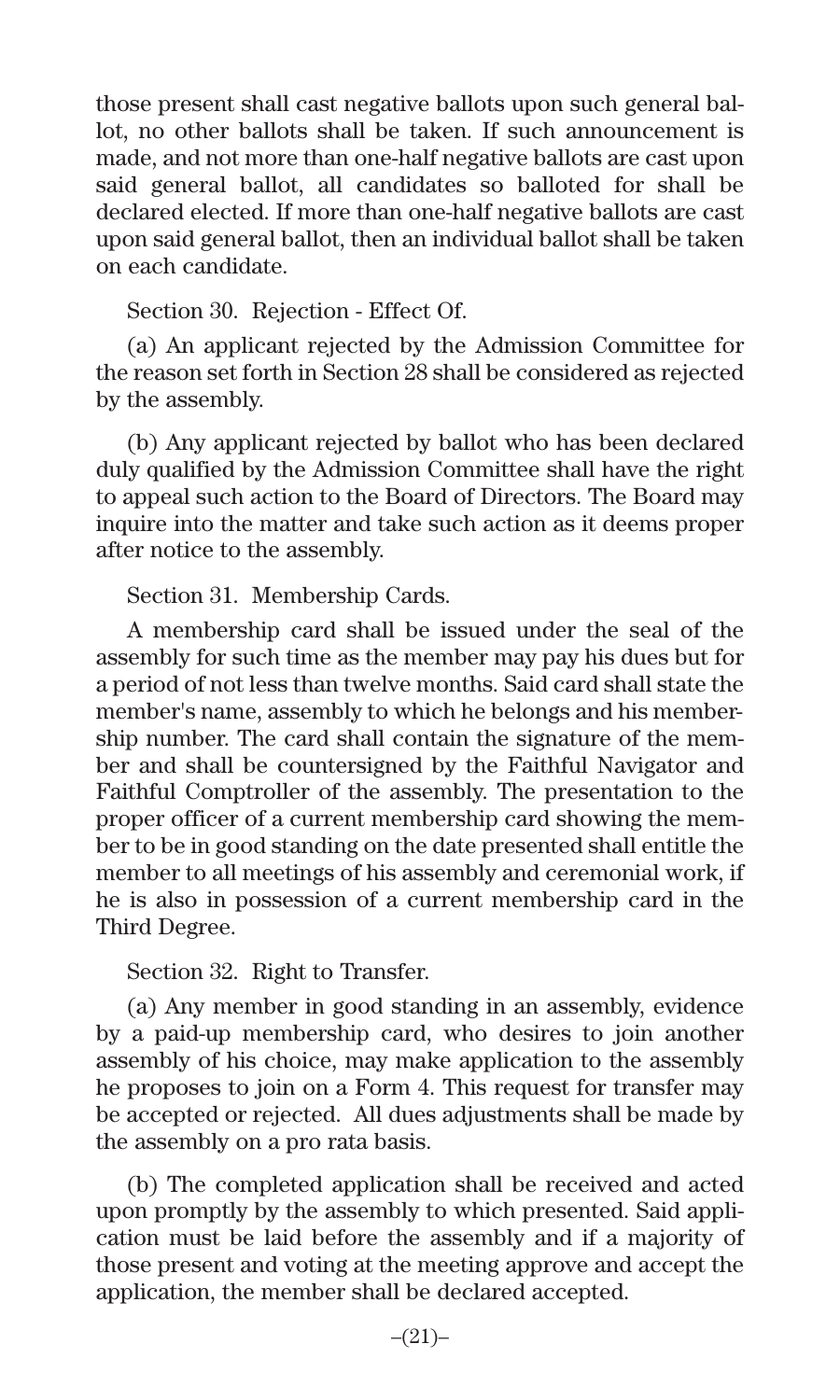those present shall cast negative ballots upon such general ballot, no other ballots shall be taken. If such announcement is made, and not more than one-half negative ballots are cast upon said general ballot, all candidates so balloted for shall be declared elected. If more than one-half negative ballots are cast upon said general ballot, then an individual ballot shall be taken on each candidate.

Section 30. Rejection - Effect Of.

(a) An applicant rejected by the Admission Committee for the reason set forth in Section 28 shall be considered as rejected by the assembly.

(b) Any applicant rejected by ballot who has been declared duly qualified by the Admission Committee shall have the right to appeal such action to the Board of Directors. The Board may inquire into the matter and take such action as it deems proper after notice to the assembly.

Section 31. Membership Cards.

A membership card shall be issued under the seal of the assembly for such time as the member may pay his dues but for a period of not less than twelve months. Said card shall state the member's name, assembly to which he belongs and his membership number. The card shall contain the signature of the member and shall be countersigned by the Faithful Navigator and Faithful Comptroller of the assembly. The presentation to the proper officer of a current membership card showing the member to be in good standing on the date presented shall entitle the member to all meetings of his assembly and ceremonial work, if he is also in possession of a current membership card in the Third Degree.

Section 32. Right to Transfer.

(a) Any member in good standing in an assembly, evidence by a paid-up membership card, who desires to join another assembly of his choice, may make application to the assembly he proposes to join on a Form 4. This request for transfer may be accepted or rejected. All dues adjustments shall be made by the assembly on a pro rata basis.

(b) The completed application shall be received and acted upon promptly by the assembly to which presented. Said application must be laid before the assembly and if a majority of those present and voting at the meeting approve and accept the application, the member shall be declared accepted.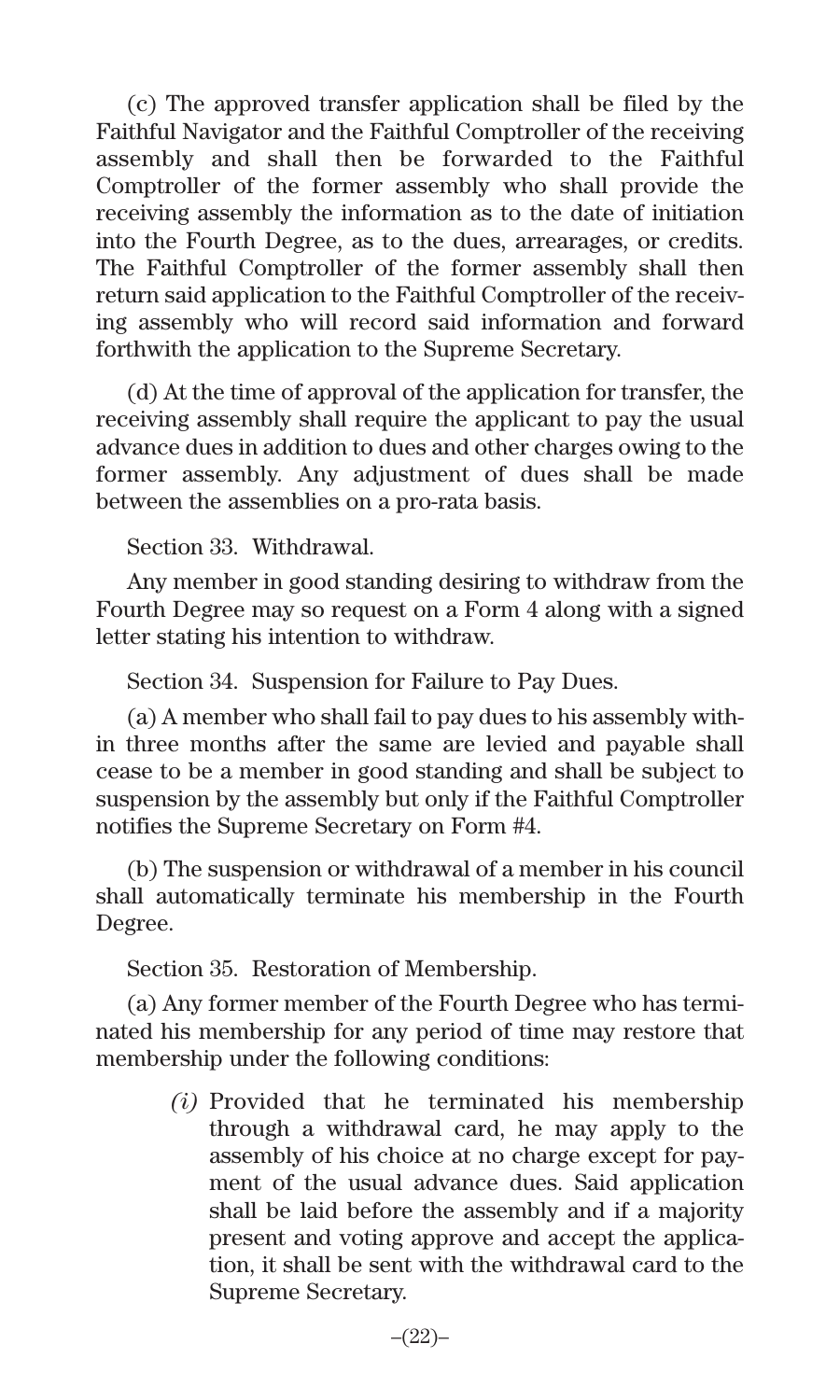(c) The approved transfer application shall be filed by the Faithful Navigator and the Faithful Comptroller of the receiving assembly and shall then be forwarded to the Faithful Comptroller of the former assembly who shall provide the receiving assembly the information as to the date of initiation into the Fourth Degree, as to the dues, arrearages, or credits. The Faithful Comptroller of the former assembly shall then return said application to the Faithful Comptroller of the receiving assembly who will record said information and forward forthwith the application to the Supreme Secretary.

(d) At the time of approval of the application for transfer, the receiving assembly shall require the applicant to pay the usual advance dues in addition to dues and other charges owing to the former assembly. Any adjustment of dues shall be made between the assemblies on a pro-rata basis.

Section 33. Withdrawal.

Any member in good standing desiring to withdraw from the Fourth Degree may so request on a Form 4 along with a signed letter stating his intention to withdraw.

Section 34. Suspension for Failure to Pay Dues.

(a) A member who shall fail to pay dues to his assembly within three months after the same are levied and payable shall cease to be a member in good standing and shall be subject to suspension by the assembly but only if the Faithful Comptroller notifies the Supreme Secretary on Form #4.

(b) The suspension or withdrawal of a member in his council shall automatically terminate his membership in the Fourth Degree.

Section 35. Restoration of Membership.

(a) Any former member of the Fourth Degree who has terminated his membership for any period of time may restore that membership under the following conditions:

> *(i)* Provided that he terminated his membership through a withdrawal card, he may apply to the assembly of his choice at no charge except for payment of the usual advance dues. Said application shall be laid before the assembly and if a majority present and voting approve and accept the application, it shall be sent with the withdrawal card to the Supreme Secretary.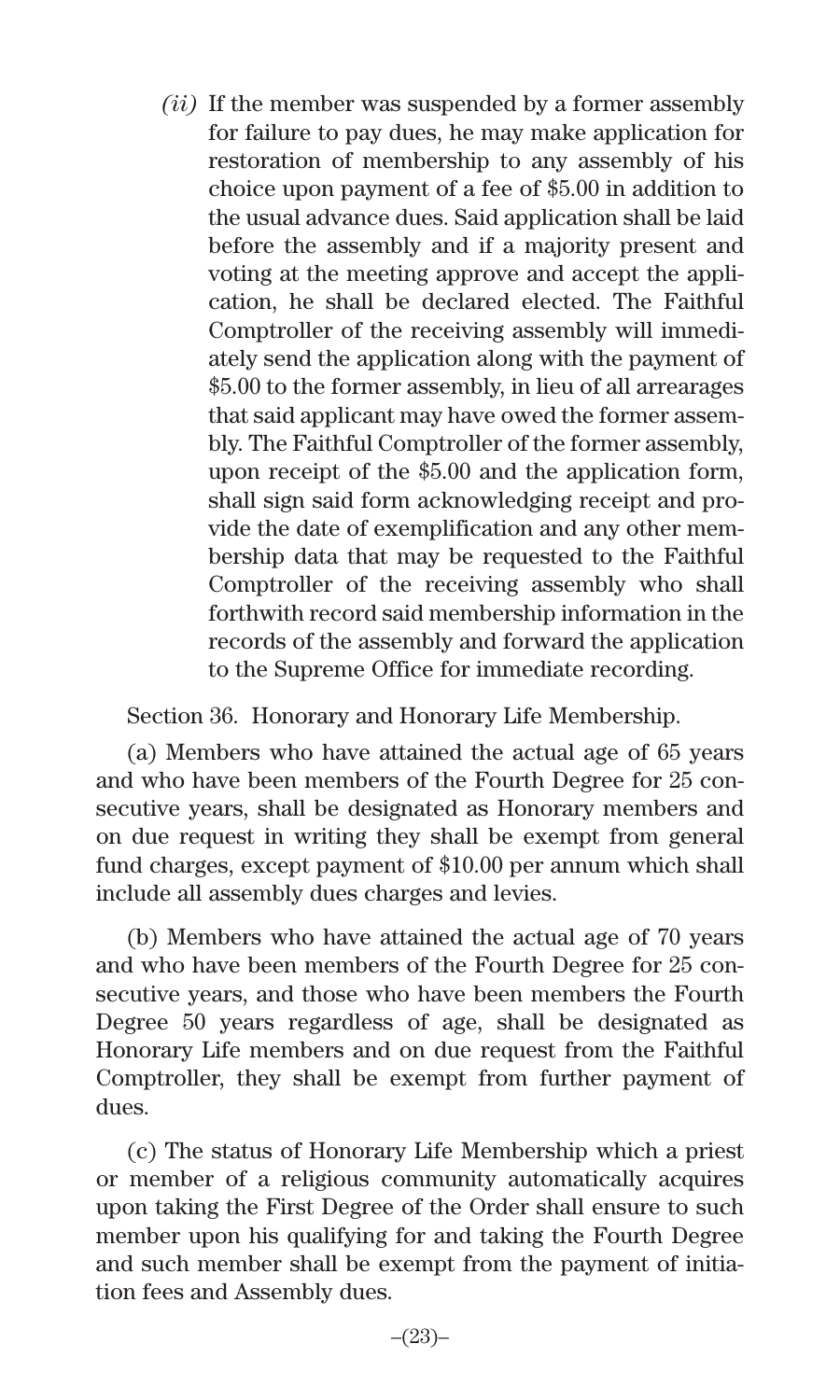*(ii)* If the member was suspended by a former assembly for failure to pay dues, he may make application for restoration of membership to any assembly of his choice upon payment of a fee of \$5.00 in addition to the usual advance dues. Said application shall be laid before the assembly and if a majority present and voting at the meeting approve and accept the application, he shall be declared elected. The Faithful Comptroller of the receiving assembly will immediately send the application along with the payment of \$5.00 to the former assembly, in lieu of all arrearages that said applicant may have owed the former assembly. The Faithful Comptroller of the former assembly, upon receipt of the \$5.00 and the application form, shall sign said form acknowledging receipt and provide the date of exemplification and any other membership data that may be requested to the Faithful Comptroller of the receiving assembly who shall forthwith record said membership information in the records of the assembly and forward the application to the Supreme Office for immediate recording.

Section 36. Honorary and Honorary Life Membership.

(a) Members who have attained the actual age of 65 years and who have been members of the Fourth Degree for 25 consecutive years, shall be designated as Honorary members and on due request in writing they shall be exempt from general fund charges, except payment of \$10.00 per annum which shall include all assembly dues charges and levies.

(b) Members who have attained the actual age of 70 years and who have been members of the Fourth Degree for 25 consecutive years, and those who have been members the Fourth Degree 50 years regardless of age, shall be designated as Honorary Life members and on due request from the Faithful Comptroller, they shall be exempt from further payment of dues.

(c) The status of Honorary Life Membership which a priest or member of a religious community automatically acquires upon taking the First Degree of the Order shall ensure to such member upon his qualifying for and taking the Fourth Degree and such member shall be exempt from the payment of initiation fees and Assembly dues.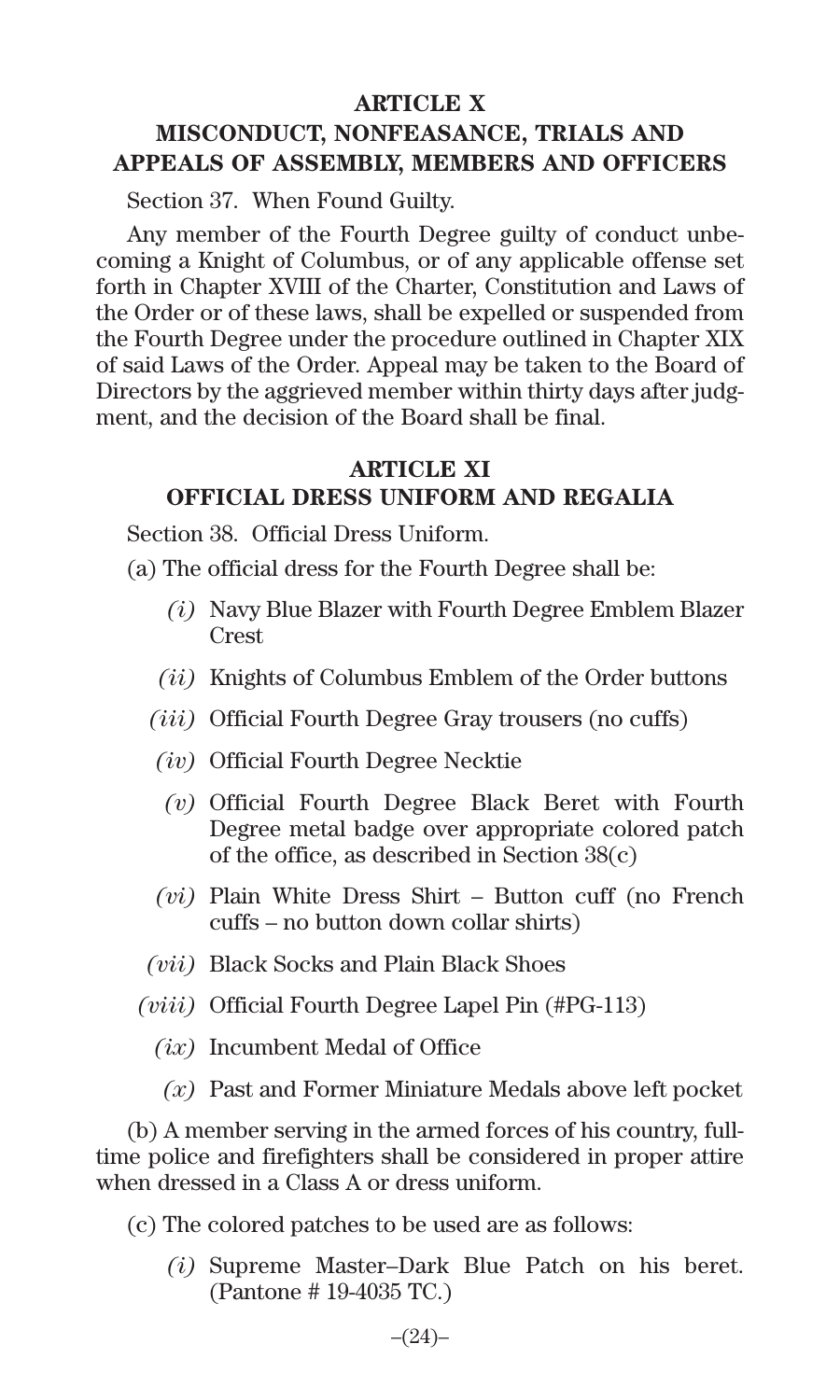#### **ARTICLE X**

## **MISCONDUCT, NONFEASANCE, TRIALS AND APPEALS OF ASSEMBLY, MEMBERS AND OFFICERS**

Section 37. When Found Guilty.

Any member of the Fourth Degree guilty of conduct unbecoming a Knight of Columbus, or of any applicable offense set forth in Chapter XVIII of the Charter, Constitution and Laws of the Order or of these laws, shall be expelled or suspended from the Fourth Degree under the procedure outlined in Chapter XIX of said Laws of the Order. Appeal may be taken to the Board of Directors by the aggrieved member within thirty days after judgment, and the decision of the Board shall be final.

#### **ARTICLE XI OFFICIAL DRESS UNIFORM AND REGALIA**

Section 38. Official Dress Uniform.

(a) The official dress for the Fourth Degree shall be:

- *(i)* Navy Blue Blazer with Fourth Degree Emblem Blazer Crest
- *(ii)* Knights of Columbus Emblem of the Order buttons
- *(iii)* Official Fourth Degree Gray trousers (no cuffs)
- *(iv)* Official Fourth Degree Necktie
- *(v)* Official Fourth Degree Black Beret with Fourth Degree metal badge over appropriate colored patch of the office, as described in Section 38(c)
- *(vi)* Plain White Dress Shirt Button cuff (no French cuffs – no button down collar shirts)
- *(vii)* Black Socks and Plain Black Shoes
- *(viii)* Official Fourth Degree Lapel Pin (#PG-113)
	- *(ix)* Incumbent Medal of Office
		- *(x)* Past and Former Miniature Medals above left pocket

(b) A member serving in the armed forces of his country, fulltime police and firefighters shall be considered in proper attire when dressed in a Class A or dress uniform.

- (c) The colored patches to be used are as follows:
	- *(i)* Supreme Master–Dark Blue Patch on his beret. (Pantone # 19-4035 TC.)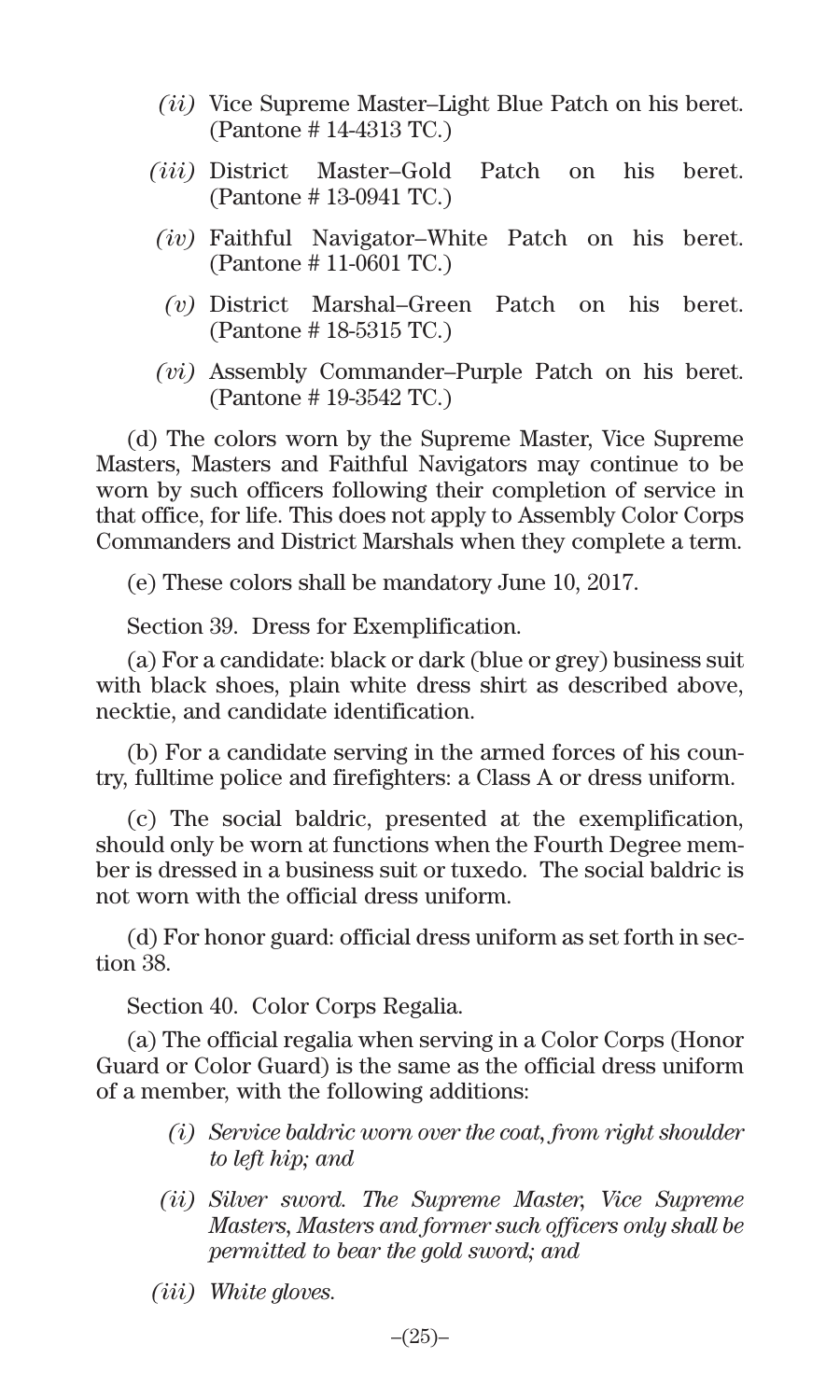- *(ii)* Vice Supreme Master–Light Blue Patch on his beret. (Pantone # 14-4313 TC.)
- *(iii)* District Master–Gold Patch on his beret. (Pantone # 13-0941 TC.)
- *(iv)* Faithful Navigator–White Patch on his beret. (Pantone # 11-0601 TC.)
	- *(v)* District Marshal–Green Patch on his beret. (Pantone # 18-5315 TC.)
- *(vi)* Assembly Commander–Purple Patch on his beret. (Pantone # 19-3542 TC.)

(d) The colors worn by the Supreme Master, Vice Supreme Masters, Masters and Faithful Navigators may continue to be worn by such officers following their completion of service in that office, for life. This does not apply to Assembly Color Corps Commanders and District Marshals when they complete a term.

(e) These colors shall be mandatory June 10, 2017.

Section 39. Dress for Exemplification.

(a) For a candidate: black or dark (blue or grey) business suit with black shoes, plain white dress shirt as described above, necktie, and candidate identification.

(b) For a candidate serving in the armed forces of his country, fulltime police and firefighters: a Class A or dress uniform.

(c) The social baldric, presented at the exemplification, should only be worn at functions when the Fourth Degree member is dressed in a business suit or tuxedo. The social baldric is not worn with the official dress uniform.

(d) For honor guard: official dress uniform as set forth in section 38.

Section 40. Color Corps Regalia.

(a) The official regalia when serving in a Color Corps (Honor Guard or Color Guard) is the same as the official dress uniform of a member, with the following additions:

- *(i) Service baldric worn over the coat, from right shoulder to left hip; and*
- *(ii) Silver sword. The Supreme Master, Vice Supreme Masters, Masters and former such officers only shall be permitted to bear the gold sword; and*
- *(iii) White gloves.*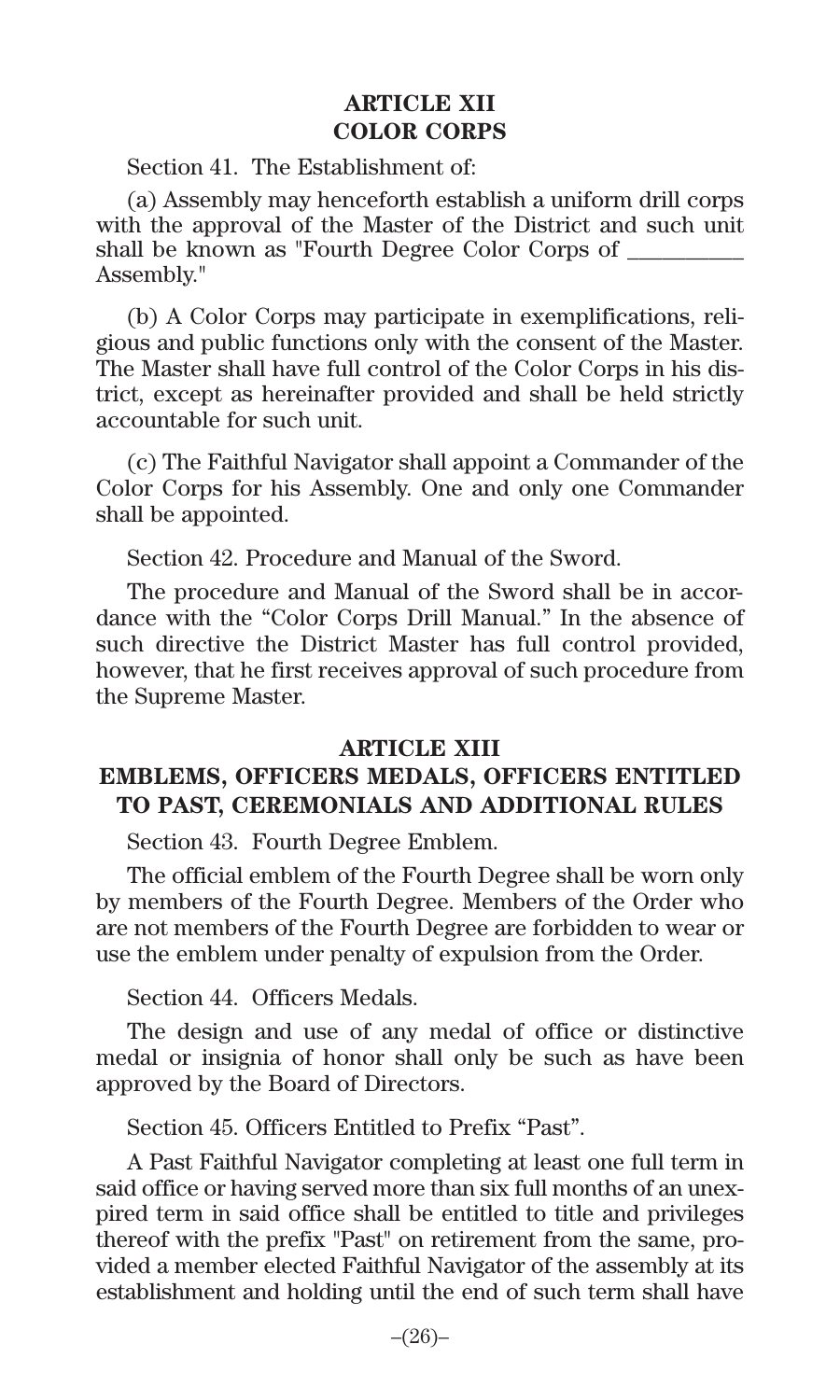#### **ARTICLE XII COLOR CORPS**

Section 41. The Establishment of:

(a) Assembly may henceforth establish a uniform drill corps with the approval of the Master of the District and such unit shall be known as "Fourth Degree Color Corps of \_\_\_\_\_\_\_\_\_\_ Assembly."

(b) A Color Corps may participate in exemplifications, religious and public functions only with the consent of the Master. The Master shall have full control of the Color Corps in his district, except as hereinafter provided and shall be held strictly accountable for such unit.

(c) The Faithful Navigator shall appoint a Commander of the Color Corps for his Assembly. One and only one Commander shall be appointed.

Section 42. Procedure and Manual of the Sword.

The procedure and Manual of the Sword shall be in accordance with the "Color Corps Drill Manual." In the absence of such directive the District Master has full control provided, however, that he first receives approval of such procedure from the Supreme Master.

#### **ARTICLE XIII**

#### **EMBLEMS, OFFICERS MEDALS, OFFICERS ENTITLED TO PAST, CEREMONIALS AND ADDITIONAL RULES**

Section 43. Fourth Degree Emblem.

The official emblem of the Fourth Degree shall be worn only by members of the Fourth Degree. Members of the Order who are not members of the Fourth Degree are forbidden to wear or use the emblem under penalty of expulsion from the Order.

Section 44. Officers Medals.

The design and use of any medal of office or distinctive medal or insignia of honor shall only be such as have been approved by the Board of Directors.

Section 45. Officers Entitled to Prefix "Past".

A Past Faithful Navigator completing at least one full term in said office or having served more than six full months of an unexpired term in said office shall be entitled to title and privileges thereof with the prefix "Past" on retirement from the same, provided a member elected Faithful Navigator of the assembly at its establishment and holding until the end of such term shall have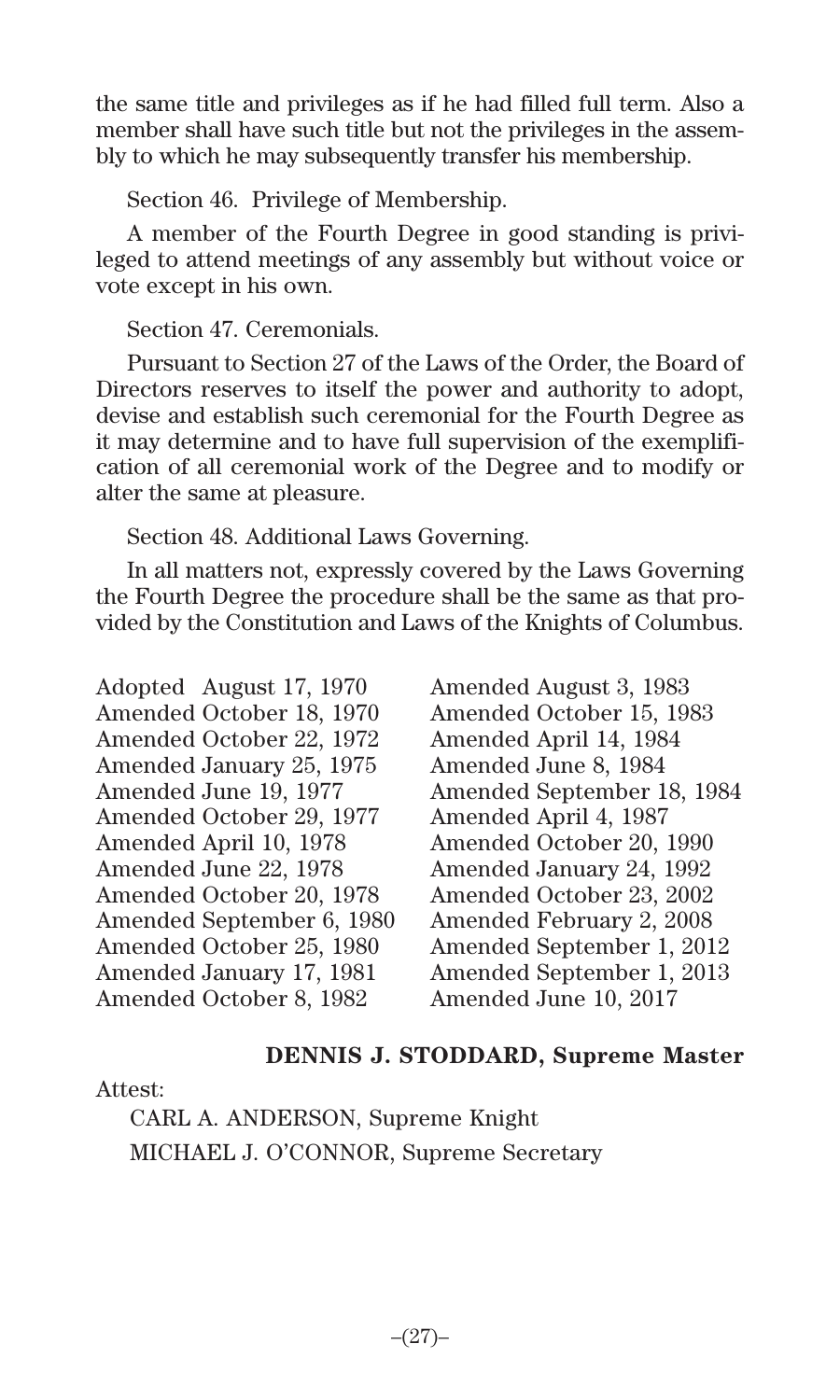the same title and privileges as if he had filled full term. Also a member shall have such title but not the privileges in the assembly to which he may subsequently transfer his membership.

Section 46. Privilege of Membership.

A member of the Fourth Degree in good standing is privileged to attend meetings of any assembly but without voice or vote except in his own.

Section 47. Ceremonials.

Pursuant to Section 27 of the Laws of the Order, the Board of Directors reserves to itself the power and authority to adopt, devise and establish such ceremonial for the Fourth Degree as it may determine and to have full supervision of the exemplification of all ceremonial work of the Degree and to modify or alter the same at pleasure.

Section 48. Additional Laws Governing.

In all matters not, expressly covered by the Laws Governing the Fourth Degree the procedure shall be the same as that provided by the Constitution and Laws of the Knights of Columbus.

Adopted August 17, 1970 Amended August 3, 1983 Amended October 22, 1972 Amended April 14, 1984 Amended January 25, 1975 Amended June 8, 1984<br>Amended June 19, 1977 Amended September 1 Amended October 29, 1977 Amended April 4, 1987 Amended April 10, 1978 Amended October 20, 1990 Amended June 22, 1978 Amended January 24, 1992 Amended October 20, 1978 Amended October 23, 2002 Amended September 6, 1980 Amended February 2, 2008 Amended January 17, 1981 Amended September 1, 2013 Amended October 8, 1982 Amended June 10, 2017

Amended October 15, 1983 Amended September 18, 1984 Amended September 1, 2012

## **DENNIS J. STODDARD, Supreme Master**

#### Attest:

CARL A. ANDERSON, Supreme Knight MICHAEL J. O'CONNOR, Supreme Secretary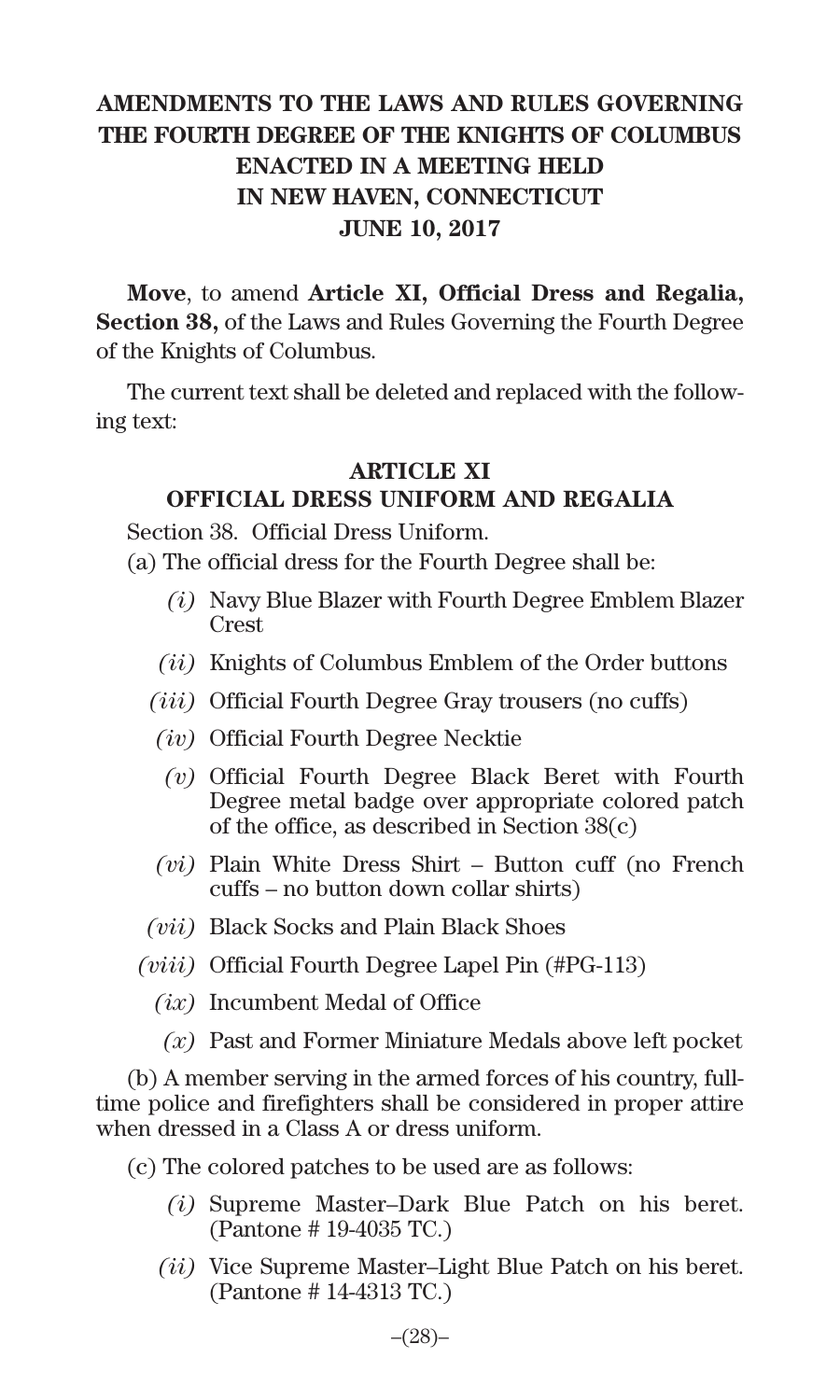## **AMENDMENTS TO THE LAWS AND RULES GOVERNING THE FOURTH DEGREE OF THE KNIGHTS OF COLUMBUS ENACTED IN A MEETING HELD IN NEW HAVEN, CONNECTICUT JUNE 10, 2017**

**Move**, to amend **Article XI, Official Dress and Regalia, Section 38,** of the Laws and Rules Governing the Fourth Degree of the Knights of Columbus.

The current text shall be deleted and replaced with the following text:

#### **ARTICLE XI**

## **OFFICIAL DRESS UNIFORM AND REGALIA**

Section 38. Official Dress Uniform.

- (a) The official dress for the Fourth Degree shall be:
	- *(i)* Navy Blue Blazer with Fourth Degree Emblem Blazer Crest
	- *(ii)* Knights of Columbus Emblem of the Order buttons
	- *(iii)* Official Fourth Degree Gray trousers (no cuffs)
	- *(iv)* Official Fourth Degree Necktie
		- *(v)* Official Fourth Degree Black Beret with Fourth Degree metal badge over appropriate colored patch of the office, as described in Section 38(c)
	- *(vi)* Plain White Dress Shirt Button cuff (no French cuffs – no button down collar shirts)
	- *(vii)* Black Socks and Plain Black Shoes
	- *(viii)* Official Fourth Degree Lapel Pin (#PG-113)
		- *(ix)* Incumbent Medal of Office
			- *(x)* Past and Former Miniature Medals above left pocket

(b) A member serving in the armed forces of his country, fulltime police and firefighters shall be considered in proper attire when dressed in a Class A or dress uniform.

- (c) The colored patches to be used are as follows:
	- *(i)* Supreme Master–Dark Blue Patch on his beret. (Pantone # 19-4035 TC.)
	- *(ii)* Vice Supreme Master–Light Blue Patch on his beret. (Pantone # 14-4313 TC.)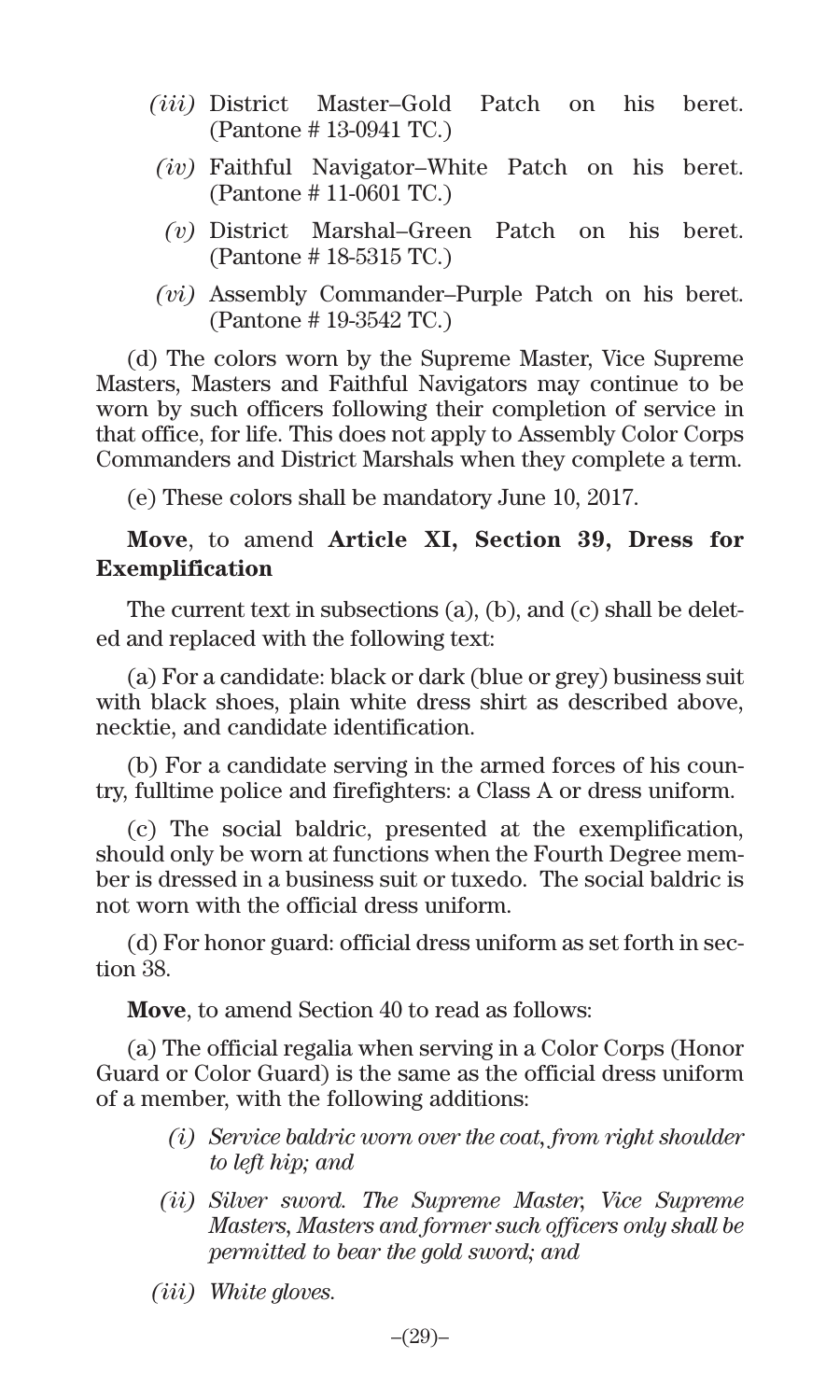- *(iii)* District Master–Gold Patch on his beret. (Pantone # 13-0941 TC.)
- *(iv)* Faithful Navigator–White Patch on his beret. (Pantone # 11-0601 TC.)
	- *(v)* District Marshal–Green Patch on his beret. (Pantone # 18-5315 TC.)
- *(vi)* Assembly Commander–Purple Patch on his beret. (Pantone # 19-3542 TC.)

(d) The colors worn by the Supreme Master, Vice Supreme Masters, Masters and Faithful Navigators may continue to be worn by such officers following their completion of service in that office, for life. This does not apply to Assembly Color Corps Commanders and District Marshals when they complete a term.

(e) These colors shall be mandatory June 10, 2017.

#### **Move**, to amend **Article XI, Section 39, Dress for Exemplification**

The current text in subsections (a), (b), and (c) shall be deleted and replaced with the following text:

(a) For a candidate: black or dark (blue or grey) business suit with black shoes, plain white dress shirt as described above, necktie, and candidate identification.

(b) For a candidate serving in the armed forces of his country, fulltime police and firefighters: a Class A or dress uniform.

(c) The social baldric, presented at the exemplification, should only be worn at functions when the Fourth Degree member is dressed in a business suit or tuxedo. The social baldric is not worn with the official dress uniform.

(d) For honor guard: official dress uniform as set forth in section 38.

**Move**, to amend Section 40 to read as follows:

(a) The official regalia when serving in a Color Corps (Honor Guard or Color Guard) is the same as the official dress uniform of a member, with the following additions:

- *(i) Service baldric worn over the coat, from right shoulder to left hip; and*
- *(ii) Silver sword. The Supreme Master, Vice Supreme Masters, Masters and former such officers only shall be permitted to bear the gold sword; and*
- *(iii) White gloves.*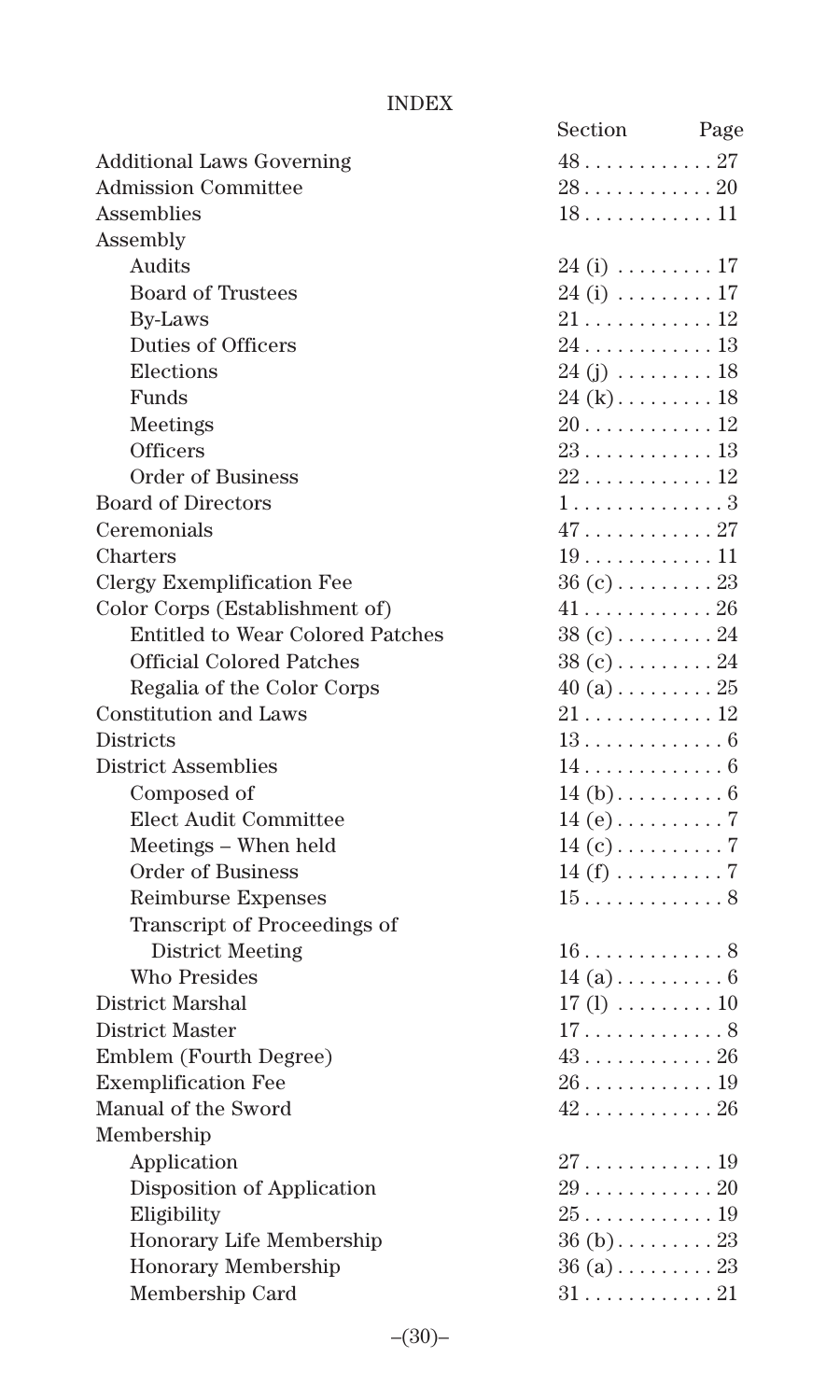#### INDEX

|                                         | Section                            | Page |
|-----------------------------------------|------------------------------------|------|
| <b>Additional Laws Governing</b>        | 4827                               |      |
| <b>Admission Committee</b>              | 2820                               |      |
| Assemblies                              | $18 \ldots  \ldots 11$             |      |
| Assembly                                |                                    |      |
| Audits                                  | $24$ (i) $\dots \dots \dots 17$    |      |
| <b>Board of Trustees</b>                | $24$ (i) $\dots \dots \dots 17$    |      |
| <b>By-Laws</b>                          | $21\ldots\ldots\ldots\ldots\,12$   |      |
| Duties of Officers                      | 24 13                              |      |
| Elections                               | $24(j)$ 18                         |      |
| Funds                                   | $24 (k) \ldots \ldots \ldots 18$   |      |
| Meetings                                |                                    |      |
| Officers                                | $23 \ldots  \ldots 13$             |      |
| <b>Order of Business</b>                | $22 \ldots \ldots \ldots 12$       |      |
| <b>Board of Directors</b>               | 1. 3                               |      |
| Ceremonials                             | 47. 27                             |      |
| Charters                                | $19$ 11                            |      |
| Clergy Exemplification Fee              | $36(c) \ldots \ldots \ldots 23$    |      |
| Color Corps (Establishment of)          |                                    |      |
| <b>Entitled to Wear Colored Patches</b> | $38(c) \ldots \ldots \ldots 24$    |      |
| <b>Official Colored Patches</b>         | $38(c) \ldots \ldots \ldots 24$    |      |
| Regalia of the Color Corps              | $40$ (a) $\ldots \ldots \ldots 25$ |      |
| Constitution and Laws                   | $21$ 12                            |      |
| <b>Districts</b>                        | $13 \ldots  \ldots 6$              |      |
| <b>District Assemblies</b>              | 14. 6                              |      |
| Composed of                             |                                    |      |
| Elect Audit Committee                   |                                    |      |
| Meetings - When held                    |                                    |      |
| <b>Order of Business</b>                | $14(f) \ldots \ldots \ldots 7$     |      |
| Reimburse Expenses                      | $15 \ldots  \ldots 8$              |      |
| Transcript of Proceedings of            |                                    |      |
| District Meeting                        | $16 \ldots \ldots \ldots 8$        |      |
| <b>Who Presides</b>                     | $14(a) \ldots \ldots \ldots 6$     |      |
| District Marshal                        | $17(1) \ldots \ldots \ldots 10$    |      |
| District Master                         | 17. 8                              |      |
| Emblem (Fourth Degree)                  | 43. 26                             |      |
| <b>Exemplification Fee</b>              | $26 \ldots \ldots \ldots 19$       |      |
| Manual of the Sword                     | $42$ 26                            |      |
| Membership                              |                                    |      |
| Application                             | $27 \ldots  \ldots 19$             |      |
| Disposition of Application              | $29$ 20                            |      |
| Eligibility                             |                                    |      |
| Honorary Life Membership                | $36(b)$ 23                         |      |
| Honorary Membership                     | $36(a) \ldots \ldots \ldots 23$    |      |
| Membership Card                         | $31$ 21                            |      |
|                                         |                                    |      |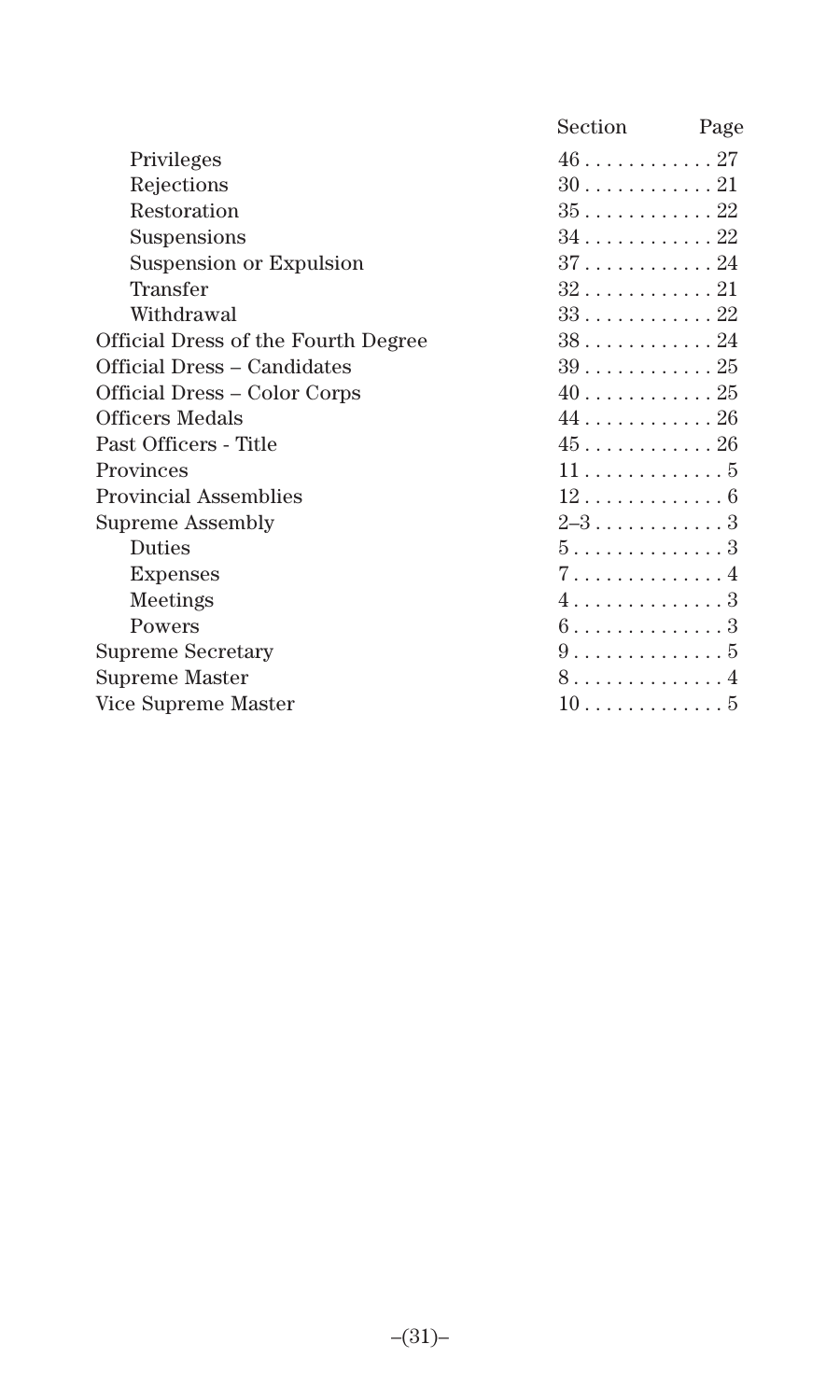|                                     | Section                           | Page |
|-------------------------------------|-----------------------------------|------|
| Privileges                          | $46 \ldots  \ldots 27$            |      |
| Rejections                          | $30$ 21                           |      |
| Restoration                         | $35 \ldots  \ldots 22$            |      |
| Suspensions                         | $34$ 22                           |      |
| Suspension or Expulsion             | $37 \ldots  \ldots 24$            |      |
| Transfer                            |                                   |      |
| Withdrawal                          | $33 \ldots  \ldots 22$            |      |
| Official Dress of the Fourth Degree | $38$ 24                           |      |
| Official Dress – Candidates         | $39 \ldots  \ldots 25$            |      |
| Official Dress – Color Corps        |                                   |      |
| Officers Medals                     | $44$ 26                           |      |
| Past Officers - Title               | $45 \ldots  \ldots 26$            |      |
| Provinces                           | 115                               |      |
| <b>Provincial Assemblies</b>        | 12. 6                             |      |
| Supreme Assembly                    | 2–3. 3                            |      |
| <b>Duties</b>                       | 5. 3                              |      |
| <b>Expenses</b>                     | 7. 4                              |      |
| Meetings                            | 4. 3                              |      |
| Powers                              | $6 \ldots \ldots \ldots \ldots 3$ |      |
| Supreme Secretary                   | 9. 5                              |      |
| Supreme Master                      | 8. 4                              |      |
| Vice Supreme Master                 | 10                                |      |